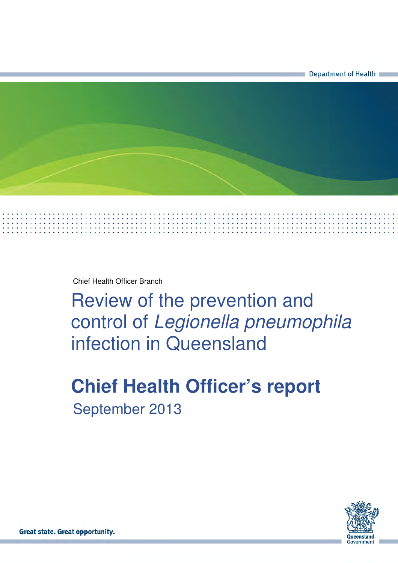

Chief Health Officer Branch

Review of the prevention and control of Legionella pneumophila infection in Queensland

# **Chief Health Officer's report** September 2013

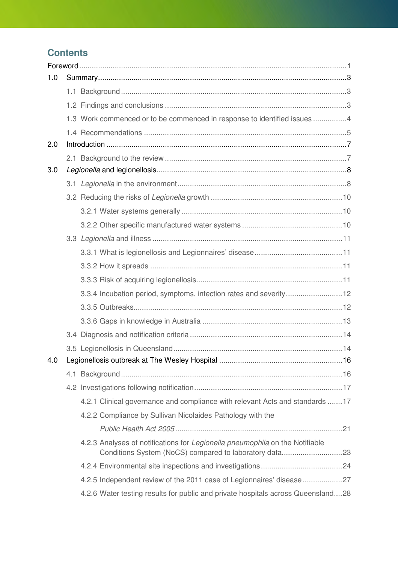## **Contents**

| 1.0 |                                                                                  |      |
|-----|----------------------------------------------------------------------------------|------|
|     |                                                                                  |      |
|     |                                                                                  |      |
|     | 1.3 Work commenced or to be commenced in response to identified issues 4         |      |
|     |                                                                                  |      |
| 2.0 |                                                                                  |      |
|     |                                                                                  |      |
| 3.0 |                                                                                  |      |
|     |                                                                                  |      |
|     |                                                                                  |      |
|     |                                                                                  |      |
|     |                                                                                  |      |
|     |                                                                                  |      |
|     |                                                                                  |      |
|     |                                                                                  |      |
|     |                                                                                  |      |
|     | 3.3.4 Incubation period, symptoms, infection rates and severity12                |      |
|     |                                                                                  |      |
|     |                                                                                  |      |
|     |                                                                                  |      |
|     |                                                                                  |      |
| 4.0 |                                                                                  | . 16 |
|     |                                                                                  |      |
|     |                                                                                  |      |
|     | 4.2.1 Clinical governance and compliance with relevant Acts and standards 17     |      |
|     | 4.2.2 Compliance by Sullivan Nicolaides Pathology with the                       |      |
|     |                                                                                  |      |
|     | 4.2.3 Analyses of notifications for Legionella pneumophila on the Notifiable     |      |
|     |                                                                                  |      |
|     | 4.2.5 Independent review of the 2011 case of Legionnaires' disease 27            |      |
|     | 4.2.6 Water testing results for public and private hospitals across Queensland28 |      |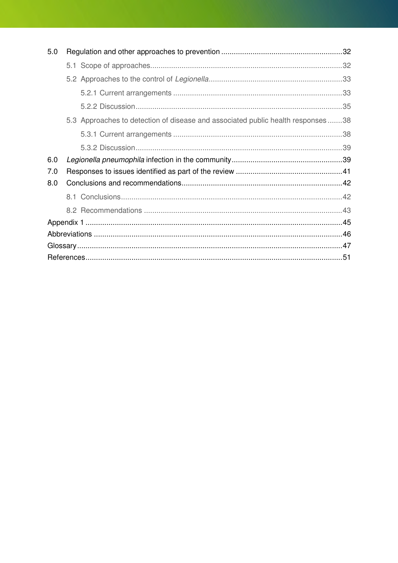| 5.0 |                                                                                 |  |
|-----|---------------------------------------------------------------------------------|--|
|     |                                                                                 |  |
|     |                                                                                 |  |
|     |                                                                                 |  |
|     |                                                                                 |  |
|     | 5.3 Approaches to detection of disease and associated public health responses38 |  |
|     |                                                                                 |  |
|     |                                                                                 |  |
| 6.0 |                                                                                 |  |
| 7.0 |                                                                                 |  |
| 8.0 |                                                                                 |  |
|     |                                                                                 |  |
|     |                                                                                 |  |
|     |                                                                                 |  |
|     |                                                                                 |  |
|     |                                                                                 |  |
|     |                                                                                 |  |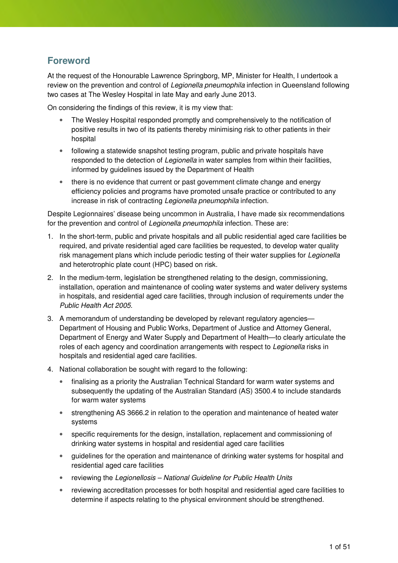### **Foreword**

At the request of the Honourable Lawrence Springborg, MP, Minister for Health, I undertook a review on the prevention and control of Legionella pneumophila infection in Queensland following two cases at The Wesley Hospital in late May and early June 2013.

On considering the findings of this review, it is my view that:

- The Wesley Hospital responded promptly and comprehensively to the notification of positive results in two of its patients thereby minimising risk to other patients in their hospital
- following a statewide snapshot testing program, public and private hospitals have responded to the detection of Legionella in water samples from within their facilities, informed by guidelines issued by the Department of Health
- there is no evidence that current or past government climate change and energy efficiency policies and programs have promoted unsafe practice or contributed to any increase in risk of contracting Legionella pneumophila infection.

Despite Legionnaires' disease being uncommon in Australia, I have made six recommendations for the prevention and control of Legionella pneumophila infection. These are:

- 1. In the short-term, public and private hospitals and all public residential aged care facilities be required, and private residential aged care facilities be requested, to develop water quality risk management plans which include periodic testing of their water supplies for Legionella and heterotrophic plate count (HPC) based on risk.
- 2. In the medium-term, legislation be strengthened relating to the design, commissioning, installation, operation and maintenance of cooling water systems and water delivery systems in hospitals, and residential aged care facilities, through inclusion of requirements under the Public Health Act 2005.
- 3. A memorandum of understanding be developed by relevant regulatory agencies— Department of Housing and Public Works, Department of Justice and Attorney General, Department of Energy and Water Supply and Department of Health—to clearly articulate the roles of each agency and coordination arrangements with respect to Legionella risks in hospitals and residential aged care facilities.
- 4. National collaboration be sought with regard to the following:
	- finalising as a priority the Australian Technical Standard for warm water systems and subsequently the updating of the Australian Standard (AS) 3500.4 to include standards for warm water systems
	- strengthening AS 3666.2 in relation to the operation and maintenance of heated water systems
	- specific requirements for the design, installation, replacement and commissioning of drinking water systems in hospital and residential aged care facilities
	- guidelines for the operation and maintenance of drinking water systems for hospital and residential aged care facilities
	- reviewing the Legionellosis National Guideline for Public Health Units
	- reviewing accreditation processes for both hospital and residential aged care facilities to determine if aspects relating to the physical environment should be strengthened.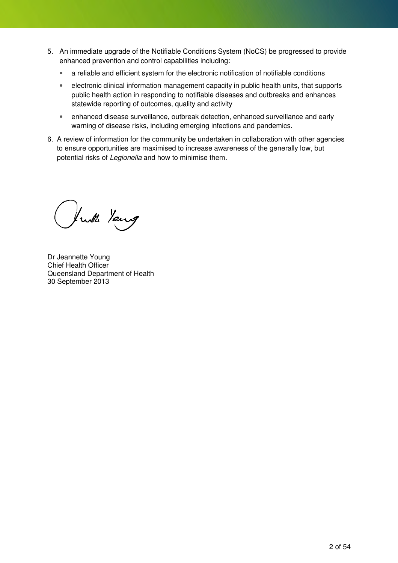- 5. An immediate upgrade of the Notifiable Conditions System (NoCS) be progressed to provide enhanced prevention and control capabilities including:
	- a reliable and efficient system for the electronic notification of notifiable conditions
	- electronic clinical information management capacity in public health units, that supports public health action in responding to notifiable diseases and outbreaks and enhances statewide reporting of outcomes, quality and activity
	- enhanced disease surveillance, outbreak detection, enhanced surveillance and early warning of disease risks, including emerging infections and pandemics.
- 6. A review of information for the community be undertaken in collaboration with other agencies to ensure opportunities are maximised to increase awareness of the generally low, but potential risks of *Legionella* and how to minimise them.

Just Young

Dr Jeannette Young Chief Health Officer Queensland Department of Health 30 September 2013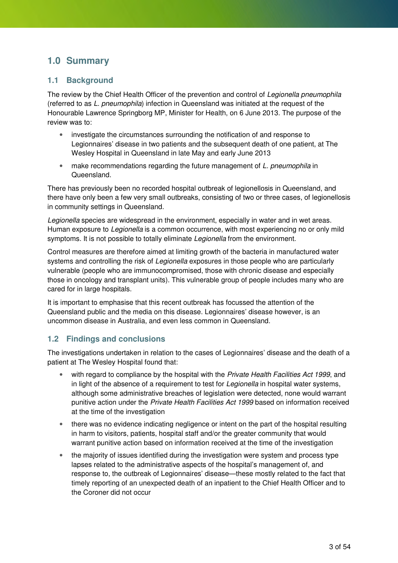### **1.0 Summary**

#### **1.1 Background**

The review by the Chief Health Officer of the prevention and control of Legionella pneumophila (referred to as L. pneumophila) infection in Queensland was initiated at the request of the Honourable Lawrence Springborg MP, Minister for Health, on 6 June 2013. The purpose of the review was to:

- investigate the circumstances surrounding the notification of and response to Legionnaires' disease in two patients and the subsequent death of one patient, at The Wesley Hospital in Queensland in late May and early June 2013
- make recommendations regarding the future management of L. pneumophila in Queensland.

There has previously been no recorded hospital outbreak of legionellosis in Queensland, and there have only been a few very small outbreaks, consisting of two or three cases, of legionellosis in community settings in Queensland.

Legionella species are widespread in the environment, especially in water and in wet areas. Human exposure to Legionella is a common occurrence, with most experiencing no or only mild symptoms. It is not possible to totally eliminate Legionella from the environment.

Control measures are therefore aimed at limiting growth of the bacteria in manufactured water systems and controlling the risk of Legionella exposures in those people who are particularly vulnerable (people who are immunocompromised, those with chronic disease and especially those in oncology and transplant units). This vulnerable group of people includes many who are cared for in large hospitals.

It is important to emphasise that this recent outbreak has focussed the attention of the Queensland public and the media on this disease. Legionnaires' disease however, is an uncommon disease in Australia, and even less common in Queensland.

#### **1.2 Findings and conclusions**

The investigations undertaken in relation to the cases of Legionnaires' disease and the death of a patient at The Wesley Hospital found that:

- with regard to compliance by the hospital with the Private Health Facilities Act 1999, and in light of the absence of a requirement to test for Legionella in hospital water systems, although some administrative breaches of legislation were detected, none would warrant punitive action under the Private Health Facilities Act 1999 based on information received at the time of the investigation
- there was no evidence indicating negligence or intent on the part of the hospital resulting in harm to visitors, patients, hospital staff and/or the greater community that would warrant punitive action based on information received at the time of the investigation
- the majority of issues identified during the investigation were system and process type lapses related to the administrative aspects of the hospital's management of, and response to, the outbreak of Legionnaires' disease—these mostly related to the fact that timely reporting of an unexpected death of an inpatient to the Chief Health Officer and to the Coroner did not occur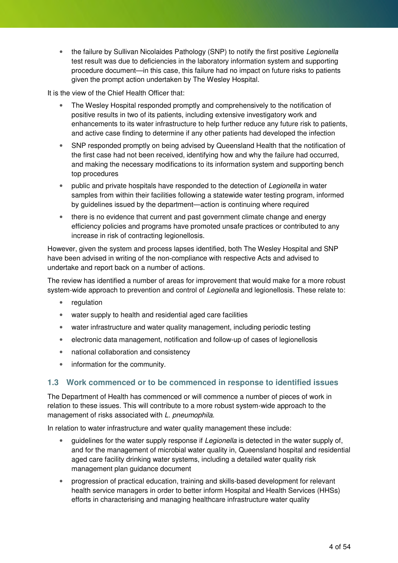• the failure by Sullivan Nicolaides Pathology (SNP) to notify the first positive Legionella test result was due to deficiencies in the laboratory information system and supporting procedure document—in this case, this failure had no impact on future risks to patients given the prompt action undertaken by The Wesley Hospital.

It is the view of the Chief Health Officer that:

- The Wesley Hospital responded promptly and comprehensively to the notification of positive results in two of its patients, including extensive investigatory work and enhancements to its water infrastructure to help further reduce any future risk to patients, and active case finding to determine if any other patients had developed the infection
- SNP responded promptly on being advised by Queensland Health that the notification of the first case had not been received, identifying how and why the failure had occurred, and making the necessary modifications to its information system and supporting bench top procedures
- public and private hospitals have responded to the detection of Legionella in water samples from within their facilities following a statewide water testing program, informed by guidelines issued by the department—action is continuing where required
- there is no evidence that current and past government climate change and energy efficiency policies and programs have promoted unsafe practices or contributed to any increase in risk of contracting legionellosis.

However, given the system and process lapses identified, both The Wesley Hospital and SNP have been advised in writing of the non-compliance with respective Acts and advised to undertake and report back on a number of actions.

The review has identified a number of areas for improvement that would make for a more robust system-wide approach to prevention and control of *Legionella* and legionellosis. These relate to:

- regulation
- water supply to health and residential aged care facilities
- water infrastructure and water quality management, including periodic testing
- electronic data management, notification and follow-up of cases of legionellosis
- national collaboration and consistency
- information for the community.

#### **1.3 Work commenced or to be commenced in response to identified issues**

The Department of Health has commenced or will commence a number of pieces of work in relation to these issues. This will contribute to a more robust system-wide approach to the management of risks associated with L. pneumophila.

In relation to water infrastructure and water quality management these include:

- quidelines for the water supply response if *Legionella* is detected in the water supply of, and for the management of microbial water quality in, Queensland hospital and residential aged care facility drinking water systems, including a detailed water quality risk management plan guidance document
- progression of practical education, training and skills-based development for relevant health service managers in order to better inform Hospital and Health Services (HHSs) efforts in characterising and managing healthcare infrastructure water quality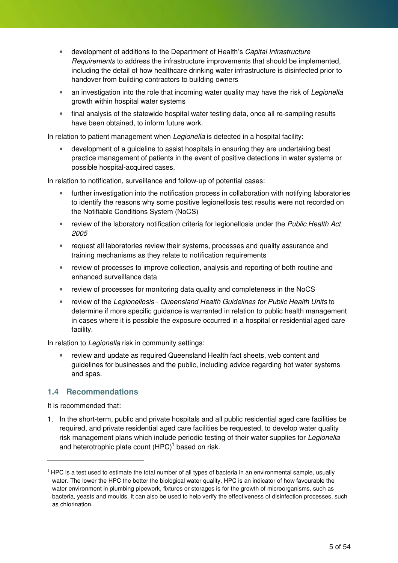- development of additions to the Department of Health's Capital Infrastructure Requirements to address the infrastructure improvements that should be implemented, including the detail of how healthcare drinking water infrastructure is disinfected prior to handover from building contractors to building owners
- an investigation into the role that incoming water quality may have the risk of Legionella growth within hospital water systems
- final analysis of the statewide hospital water testing data, once all re-sampling results have been obtained, to inform future work.

In relation to patient management when Legionella is detected in a hospital facility:

• development of a guideline to assist hospitals in ensuring they are undertaking best practice management of patients in the event of positive detections in water systems or possible hospital-acquired cases.

In relation to notification, surveillance and follow-up of potential cases:

- further investigation into the notification process in collaboration with notifying laboratories to identify the reasons why some positive legionellosis test results were not recorded on the Notifiable Conditions System (NoCS)
- review of the laboratory notification criteria for legionellosis under the Public Health Act 2005
- request all laboratories review their systems, processes and quality assurance and training mechanisms as they relate to notification requirements
- review of processes to improve collection, analysis and reporting of both routine and enhanced surveillance data
- review of processes for monitoring data quality and completeness in the NoCS
- review of the Legionellosis Queensland Health Guidelines for Public Health Units to determine if more specific guidance is warranted in relation to public health management in cases where it is possible the exposure occurred in a hospital or residential aged care facility.

In relation to *Legionella* risk in community settings:

• review and update as required Queensland Health fact sheets, web content and guidelines for businesses and the public, including advice regarding hot water systems and spas.

#### **1.4 Recommendations**

It is recommended that:

1. In the short-term, public and private hospitals and all public residential aged care facilities be required, and private residential aged care facilities be requested, to develop water quality risk management plans which include periodic testing of their water supplies for Legionella and heterotrophic plate count  $(HPC)^1$  based on risk.

 $1$  HPC is a test used to estimate the total number of all types of bacteria in an environmental sample, usually water. The lower the HPC the better the biological water quality. HPC is an indicator of how favourable the water environment in plumbing pipework, fixtures or storages is for the growth of microorganisms, such as bacteria, yeasts and moulds. It can also be used to help verify the effectiveness of disinfection processes, such as chlorination.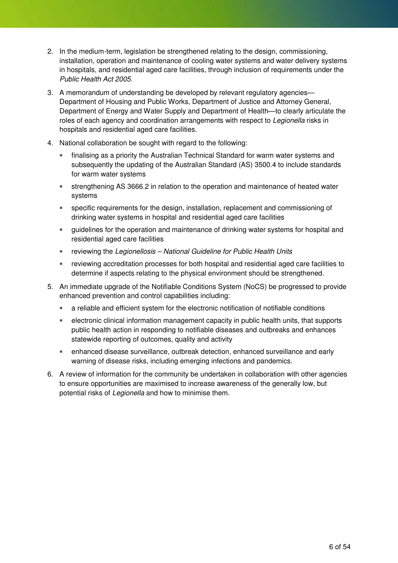- 2. In the medium-term, legislation be strengthened relating to the design, commissioning, installation, operation and maintenance of cooling water systems and water delivery systems in hospitals, and residential aged care facilities, through inclusion of requirements under the Public Health Act 2005.
- 3. A memorandum of understanding be developed by relevant regulatory agencies— Department of Housing and Public Works, Department of Justice and Attorney General, Department of Energy and Water Supply and Department of Health—to clearly articulate the roles of each agency and coordination arrangements with respect to Legionella risks in hospitals and residential aged care facilities.
- 4. National collaboration be sought with regard to the following:
	- finalising as a priority the Australian Technical Standard for warm water systems and subsequently the updating of the Australian Standard (AS) 3500.4 to include standards for warm water systems
	- strengthening AS 3666.2 in relation to the operation and maintenance of heated water systems
	- specific requirements for the design, installation, replacement and commissioning of drinking water systems in hospital and residential aged care facilities
	- guidelines for the operation and maintenance of drinking water systems for hospital and residential aged care facilities
	- reviewing the Legionellosis National Guideline for Public Health Units
	- reviewing accreditation processes for both hospital and residential aged care facilities to determine if aspects relating to the physical environment should be strengthened.
- 5. An immediate upgrade of the Notifiable Conditions System (NoCS) be progressed to provide enhanced prevention and control capabilities including:
	- a reliable and efficient system for the electronic notification of notifiable conditions
	- electronic clinical information management capacity in public health units, that supports public health action in responding to notifiable diseases and outbreaks and enhances statewide reporting of outcomes, quality and activity
	- enhanced disease surveillance, outbreak detection, enhanced surveillance and early warning of disease risks, including emerging infections and pandemics.
- 6. A review of information for the community be undertaken in collaboration with other agencies to ensure opportunities are maximised to increase awareness of the generally low, but potential risks of Legionella and how to minimise them.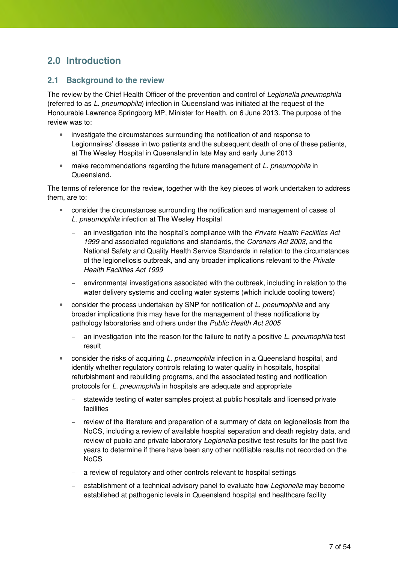### **2.0 Introduction**

#### **2.1 Background to the review**

The review by the Chief Health Officer of the prevention and control of Legionella pneumophila (referred to as L. pneumophila) infection in Queensland was initiated at the request of the Honourable Lawrence Springborg MP, Minister for Health, on 6 June 2013. The purpose of the review was to:

- investigate the circumstances surrounding the notification of and response to Legionnaires' disease in two patients and the subsequent death of one of these patients, at The Wesley Hospital in Queensland in late May and early June 2013
- make recommendations regarding the future management of L. pneumophila in **Queensland**

The terms of reference for the review, together with the key pieces of work undertaken to address them, are to:

- consider the circumstances surrounding the notification and management of cases of L. pneumophila infection at The Wesley Hospital
	- an investigation into the hospital's compliance with the Private Health Facilities Act 1999 and associated regulations and standards, the Coroners Act 2003, and the National Safety and Quality Health Service Standards in relation to the circumstances of the legionellosis outbreak, and any broader implications relevant to the *Private* Health Facilities Act 1999
	- environmental investigations associated with the outbreak, including in relation to the water delivery systems and cooling water systems (which include cooling towers)
- consider the process undertaken by SNP for notification of L. pneumophila and any broader implications this may have for the management of these notifications by pathology laboratories and others under the Public Health Act 2005
	- an investigation into the reason for the failure to notify a positive L. pneumophila test result
- consider the risks of acquiring L. pneumophila infection in a Queensland hospital, and identify whether regulatory controls relating to water quality in hospitals, hospital refurbishment and rebuilding programs, and the associated testing and notification protocols for L. pneumophila in hospitals are adequate and appropriate
	- statewide testing of water samples project at public hospitals and licensed private facilities
	- review of the literature and preparation of a summary of data on legionellosis from the NoCS, including a review of available hospital separation and death registry data, and review of public and private laboratory Legionella positive test results for the past five years to determine if there have been any other notifiable results not recorded on the NoCS
	- a review of regulatory and other controls relevant to hospital settings
	- establishment of a technical advisory panel to evaluate how Legionella may become established at pathogenic levels in Queensland hospital and healthcare facility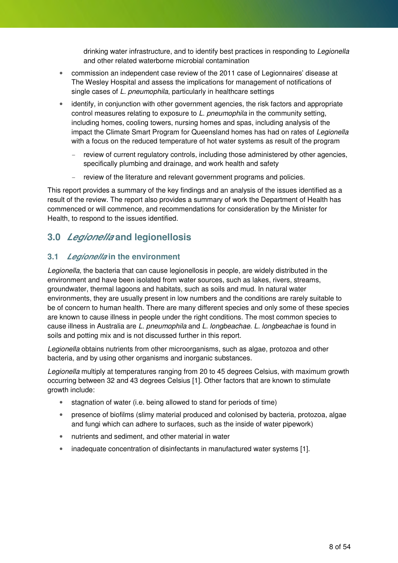drinking water infrastructure, and to identify best practices in responding to Legionella and other related waterborne microbial contamination

- commission an independent case review of the 2011 case of Legionnaires' disease at The Wesley Hospital and assess the implications for management of notifications of single cases of L. pneumophila, particularly in healthcare settings
- identify, in conjunction with other government agencies, the risk factors and appropriate control measures relating to exposure to L. pneumophila in the community setting, including homes, cooling towers, nursing homes and spas, including analysis of the impact the Climate Smart Program for Queensland homes has had on rates of Legionella with a focus on the reduced temperature of hot water systems as result of the program
	- review of current regulatory controls, including those administered by other agencies, specifically plumbing and drainage, and work health and safety
	- review of the literature and relevant government programs and policies.

This report provides a summary of the key findings and an analysis of the issues identified as a result of the review. The report also provides a summary of work the Department of Health has commenced or will commence, and recommendations for consideration by the Minister for Health, to respond to the issues identified.

### **3.0 Legionella and legionellosis**

#### **3.1 Legionella in the environment**

Legionella, the bacteria that can cause legionellosis in people, are widely distributed in the environment and have been isolated from water sources, such as lakes, rivers, streams, groundwater, thermal lagoons and habitats, such as soils and mud. In natural water environments, they are usually present in low numbers and the conditions are rarely suitable to be of concern to human health. There are many different species and only some of these species are known to cause illness in people under the right conditions. The most common species to cause illness in Australia are L. pneumophila and L. longbeachae. L. longbeachae is found in soils and potting mix and is not discussed further in this report.

Legionella obtains nutrients from other microorganisms, such as algae, protozoa and other bacteria, and by using other organisms and inorganic substances.

Legionella multiply at temperatures ranging from 20 to 45 degrees Celsius, with maximum growth occurring between 32 and 43 degrees Celsius [1]. Other factors that are known to stimulate growth include:

- stagnation of water (i.e. being allowed to stand for periods of time)
- presence of biofilms (slimy material produced and colonised by bacteria, protozoa, algae and fungi which can adhere to surfaces, such as the inside of water pipework)
- nutrients and sediment, and other material in water
- inadequate concentration of disinfectants in manufactured water systems [1].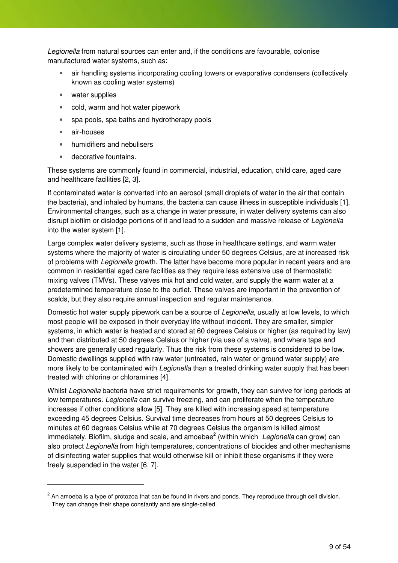Legionella from natural sources can enter and, if the conditions are favourable, colonise manufactured water systems, such as:

- air handling systems incorporating cooling towers or evaporative condensers (collectively known as cooling water systems)
- water supplies
- cold, warm and hot water pipework
- spa pools, spa baths and hydrotherapy pools
- air-houses

- humidifiers and nebulisers
- decorative fountains.

These systems are commonly found in commercial, industrial, education, child care, aged care and healthcare facilities [2, 3].

If contaminated water is converted into an aerosol (small droplets of water in the air that contain the bacteria), and inhaled by humans, the bacteria can cause illness in susceptible individuals [1]. Environmental changes, such as a change in water pressure, in water delivery systems can also disrupt biofilm or dislodge portions of it and lead to a sudden and massive release of Legionella into the water system [1].

Large complex water delivery systems, such as those in healthcare settings, and warm water systems where the majority of water is circulating under 50 degrees Celsius, are at increased risk of problems with Legionella growth. The latter have become more popular in recent years and are common in residential aged care facilities as they require less extensive use of thermostatic mixing valves (TMVs). These valves mix hot and cold water, and supply the warm water at a predetermined temperature close to the outlet. These valves are important in the prevention of scalds, but they also require annual inspection and regular maintenance.

Domestic hot water supply pipework can be a source of Legionella, usually at low levels, to which most people will be exposed in their everyday life without incident. They are smaller, simpler systems, in which water is heated and stored at 60 degrees Celsius or higher (as required by law) and then distributed at 50 degrees Celsius or higher (via use of a valve), and where taps and showers are generally used regularly. Thus the risk from these systems is considered to be low. Domestic dwellings supplied with raw water (untreated, rain water or ground water supply) are more likely to be contaminated with *Legionella* than a treated drinking water supply that has been treated with chlorine or chloramines [4].

Whilst Legionella bacteria have strict requirements for growth, they can survive for long periods at low temperatures. Legionella can survive freezing, and can proliferate when the temperature increases if other conditions allow [5]. They are killed with increasing speed at temperature exceeding 45 degrees Celsius. Survival time decreases from hours at 50 degrees Celsius to minutes at 60 degrees Celsius while at 70 degrees Celsius the organism is killed almost immediately. Biofilm, sludge and scale, and amoebae<sup>2</sup> (within which Legionella can grow) can also protect Legionella from high temperatures, concentrations of biocides and other mechanisms of disinfecting water supplies that would otherwise kill or inhibit these organisms if they were freely suspended in the water [6, 7].

 $^2$  An amoeba is a type of protozoa that can be found in rivers and ponds. They reproduce through cell division. They can change their shape constantly and are single-celled.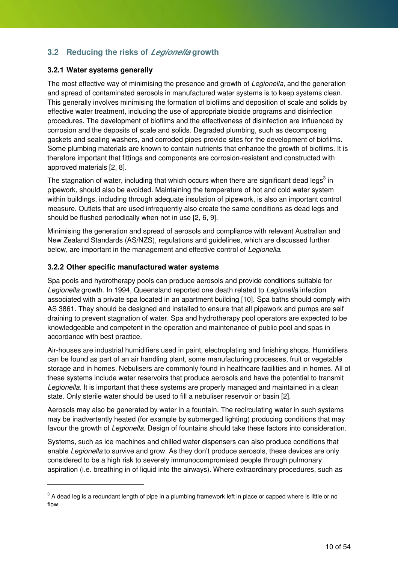### **3.2 Reducing the risks of Legionella growth**

#### **3.2.1 Water systems generally**

The most effective way of minimising the presence and growth of Legionella, and the generation and spread of contaminated aerosols in manufactured water systems is to keep systems clean. This generally involves minimising the formation of biofilms and deposition of scale and solids by effective water treatment, including the use of appropriate biocide programs and disinfection procedures. The development of biofilms and the effectiveness of disinfection are influenced by corrosion and the deposits of scale and solids. Degraded plumbing, such as decomposing gaskets and sealing washers, and corroded pipes provide sites for the development of biofilms. Some plumbing materials are known to contain nutrients that enhance the growth of biofilms. It is therefore important that fittings and components are corrosion-resistant and constructed with approved materials [2, 8].

The stagnation of water, including that which occurs when there are significant dead legs<sup>3</sup> in pipework, should also be avoided. Maintaining the temperature of hot and cold water system within buildings, including through adequate insulation of pipework, is also an important control measure. Outlets that are used infrequently also create the same conditions as dead legs and should be flushed periodically when not in use [2, 6, 9].

Minimising the generation and spread of aerosols and compliance with relevant Australian and New Zealand Standards (AS/NZS), regulations and guidelines, which are discussed further below, are important in the management and effective control of Legionella.

#### **3.2.2 Other specific manufactured water systems**

Spa pools and hydrotherapy pools can produce aerosols and provide conditions suitable for Legionella growth. In 1994, Queensland reported one death related to Legionella infection associated with a private spa located in an apartment building [10]. Spa baths should comply with AS 3861. They should be designed and installed to ensure that all pipework and pumps are self draining to prevent stagnation of water. Spa and hydrotherapy pool operators are expected to be knowledgeable and competent in the operation and maintenance of public pool and spas in accordance with best practice.

Air-houses are industrial humidifiers used in paint, electroplating and finishing shops. Humidifiers can be found as part of an air handling plant, some manufacturing processes, fruit or vegetable storage and in homes. Nebulisers are commonly found in healthcare facilities and in homes. All of these systems include water reservoirs that produce aerosols and have the potential to transmit Legionella. It is important that these systems are properly managed and maintained in a clean state. Only sterile water should be used to fill a nebuliser reservoir or basin [2].

Aerosols may also be generated by water in a fountain. The recirculating water in such systems may be inadvertently heated (for example by submerged lighting) producing conditions that may favour the growth of Legionella. Design of fountains should take these factors into consideration.

Systems, such as ice machines and chilled water dispensers can also produce conditions that enable Legionella to survive and grow. As they don't produce aerosols, these devices are only considered to be a high risk to severely immunocompromised people through pulmonary aspiration (i.e. breathing in of liquid into the airways). Where extraordinary procedures, such as

 $^3$  A dead leg is a redundant length of pipe in a plumbing framework left in place or capped where is little or no flow.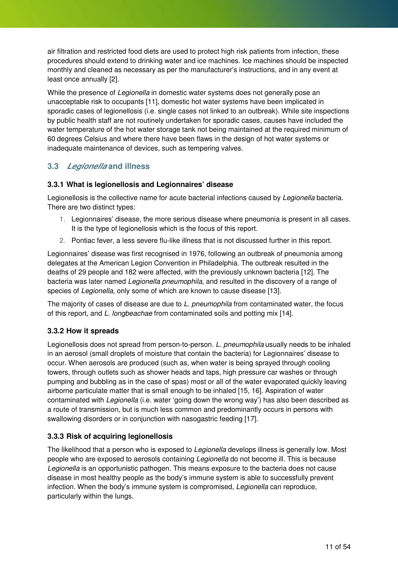air filtration and restricted food diets are used to protect high risk patients from infection, these procedures should extend to drinking water and ice machines. Ice machines should be inspected monthly and cleaned as necessary as per the manufacturer's instructions, and in any event at least once annually [2].

While the presence of *Legionella* in domestic water systems does not generally pose an unacceptable risk to occupants [11], domestic hot water systems have been implicated in sporadic cases of legionellosis (i.e. single cases not linked to an outbreak). While site inspections by public health staff are not routinely undertaken for sporadic cases, causes have included the water temperature of the hot water storage tank not being maintained at the required minimum of 60 degrees Celsius and where there have been flaws in the design of hot water systems or inadequate maintenance of devices, such as tempering valves.

#### **3.3 Legionella and illness**

#### **3.3.1 What is legionellosis and Legionnaires' disease**

Legionellosis is the collective name for acute bacterial infections caused by Legionella bacteria. There are two distinct types:

- 1. Legionnaires' disease, the more serious disease where pneumonia is present in all cases. It is the type of legionellosis which is the focus of this report.
- 2. Pontiac fever, a less severe flu-like illness that is not discussed further in this report.

Legionnaires' disease was first recognised in 1976, following an outbreak of pneumonia among delegates at the American Legion Convention in Philadelphia. The outbreak resulted in the deaths of 29 people and 182 were affected, with the previously unknown bacteria [12]. The bacteria was later named Legionella pneumophila, and resulted in the discovery of a range of species of Legionella, only some of which are known to cause disease [13].

The majority of cases of disease are due to L. pneumophila from contaminated water, the focus of this report, and L. longbeachae from contaminated soils and potting mix [14].

#### **3.3.2 How it spreads**

Legionellosis does not spread from person-to-person. L. pneumophila usually needs to be inhaled in an aerosol (small droplets of moisture that contain the bacteria) for Legionnaires' disease to occur. When aerosols are produced (such as, when water is being sprayed through cooling towers, through outlets such as shower heads and taps, high pressure car washes or through pumping and bubbling as in the case of spas) most or all of the water evaporated quickly leaving airborne particulate matter that is small enough to be inhaled [15, 16]. Aspiration of water contaminated with Legionella (i.e. water 'going down the wrong way') has also been described as a route of transmission, but is much less common and predominantly occurs in persons with swallowing disorders or in conjunction with nasogastric feeding [17].

#### **3.3.3 Risk of acquiring legionellosis**

The likelihood that a person who is exposed to *Legionella* develops illness is generally low. Most people who are exposed to aerosols containing Legionella do not become ill. This is because Legionella is an opportunistic pathogen. This means exposure to the bacteria does not cause disease in most healthy people as the body's immune system is able to successfully prevent infection. When the body's immune system is compromised, Legionella can reproduce, particularly within the lungs.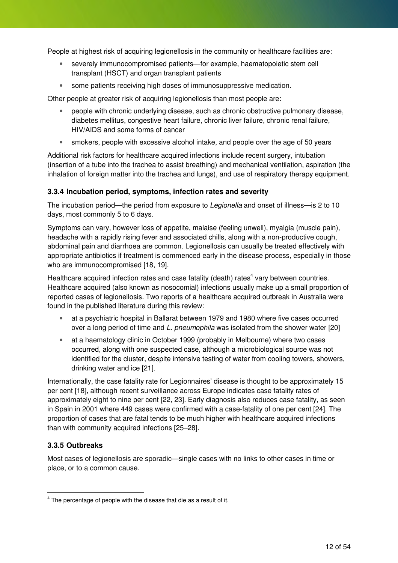People at highest risk of acquiring legionellosis in the community or healthcare facilities are:

- severely immunocompromised patients—for example, haematopoietic stem cell transplant (HSCT) and organ transplant patients
- some patients receiving high doses of immunosuppressive medication.

Other people at greater risk of acquiring legionellosis than most people are:

- people with chronic underlying disease, such as chronic obstructive pulmonary disease, diabetes mellitus, congestive heart failure, chronic liver failure, chronic renal failure, HIV/AIDS and some forms of cancer
- smokers, people with excessive alcohol intake, and people over the age of 50 years

Additional risk factors for healthcare acquired infections include recent surgery, intubation (insertion of a tube into the trachea to assist breathing) and mechanical ventilation, aspiration (the inhalation of foreign matter into the trachea and lungs), and use of respiratory therapy equipment.

#### **3.3.4 Incubation period, symptoms, infection rates and severity**

The incubation period—the period from exposure to Legionella and onset of illness—is 2 to 10 days, most commonly 5 to 6 days.

Symptoms can vary, however loss of appetite, malaise (feeling unwell), myalgia (muscle pain), headache with a rapidly rising fever and associated chills, along with a non-productive cough, abdominal pain and diarrhoea are common. Legionellosis can usually be treated effectively with appropriate antibiotics if treatment is commenced early in the disease process, especially in those who are immunocompromised [18, 19].

Healthcare acquired infection rates and case fatality (death) rates<sup>4</sup> vary between countries. Healthcare acquired (also known as nosocomial) infections usually make up a small proportion of reported cases of legionellosis. Two reports of a healthcare acquired outbreak in Australia were found in the published literature during this review:

- at a psychiatric hospital in Ballarat between 1979 and 1980 where five cases occurred over a long period of time and L. pneumophila was isolated from the shower water [20]
- at a haematology clinic in October 1999 (probably in Melbourne) where two cases occurred, along with one suspected case, although a microbiological source was not identified for the cluster, despite intensive testing of water from cooling towers, showers, drinking water and ice [21].

Internationally, the case fatality rate for Legionnaires' disease is thought to be approximately 15 per cent [18], although recent surveillance across Europe indicates case fatality rates of approximately eight to nine per cent [22, 23]. Early diagnosis also reduces case fatality, as seen in Spain in 2001 where 449 cases were confirmed with a case-fatality of one per cent [24]. The proportion of cases that are fatal tends to be much higher with healthcare acquired infections than with community acquired infections [25–28].

#### **3.3.5 Outbreaks**

 $\ddot{ }$ 

Most cases of legionellosis are sporadic—single cases with no links to other cases in time or place, or to a common cause.

 $<sup>4</sup>$  The percentage of people with the disease that die as a result of it.</sup>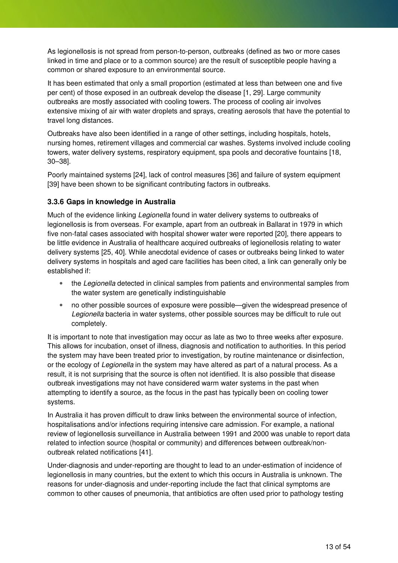As legionellosis is not spread from person-to-person, outbreaks (defined as two or more cases linked in time and place or to a common source) are the result of susceptible people having a common or shared exposure to an environmental source.

It has been estimated that only a small proportion (estimated at less than between one and five per cent) of those exposed in an outbreak develop the disease [1, 29]. Large community outbreaks are mostly associated with cooling towers. The process of cooling air involves extensive mixing of air with water droplets and sprays, creating aerosols that have the potential to travel long distances.

Outbreaks have also been identified in a range of other settings, including hospitals, hotels, nursing homes, retirement villages and commercial car washes. Systems involved include cooling towers, water delivery systems, respiratory equipment, spa pools and decorative fountains [18, 30–38].

Poorly maintained systems [24], lack of control measures [36] and failure of system equipment [39] have been shown to be significant contributing factors in outbreaks.

#### **3.3.6 Gaps in knowledge in Australia**

Much of the evidence linking Legionella found in water delivery systems to outbreaks of legionellosis is from overseas. For example, apart from an outbreak in Ballarat in 1979 in which five non-fatal cases associated with hospital shower water were reported [20], there appears to be little evidence in Australia of healthcare acquired outbreaks of legionellosis relating to water delivery systems [25, 40]. While anecdotal evidence of cases or outbreaks being linked to water delivery systems in hospitals and aged care facilities has been cited, a link can generally only be established if:

- the Legionella detected in clinical samples from patients and environmental samples from the water system are genetically indistinguishable
- no other possible sources of exposure were possible—given the widespread presence of Legionella bacteria in water systems, other possible sources may be difficult to rule out completely.

It is important to note that investigation may occur as late as two to three weeks after exposure. This allows for incubation, onset of illness, diagnosis and notification to authorities. In this period the system may have been treated prior to investigation, by routine maintenance or disinfection, or the ecology of Legionella in the system may have altered as part of a natural process. As a result, it is not surprising that the source is often not identified. It is also possible that disease outbreak investigations may not have considered warm water systems in the past when attempting to identify a source, as the focus in the past has typically been on cooling tower systems.

In Australia it has proven difficult to draw links between the environmental source of infection, hospitalisations and/or infections requiring intensive care admission. For example, a national review of legionellosis surveillance in Australia between 1991 and 2000 was unable to report data related to infection source (hospital or community) and differences between outbreak/nonoutbreak related notifications [41].

Under-diagnosis and under-reporting are thought to lead to an under-estimation of incidence of legionellosis in many countries, but the extent to which this occurs in Australia is unknown. The reasons for under-diagnosis and under-reporting include the fact that clinical symptoms are common to other causes of pneumonia, that antibiotics are often used prior to pathology testing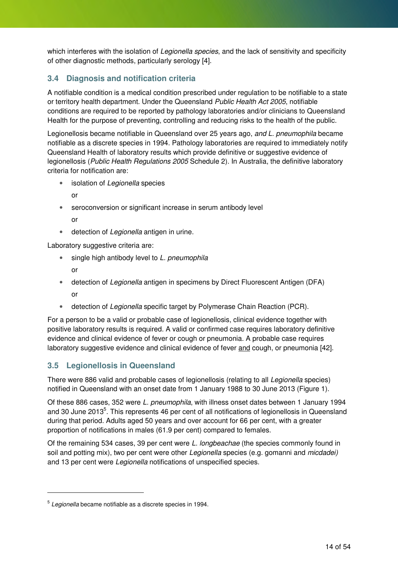which interferes with the isolation of Legionella species, and the lack of sensitivity and specificity of other diagnostic methods, particularly serology [4].

### **3.4 Diagnosis and notification criteria**

A notifiable condition is a medical condition prescribed under regulation to be notifiable to a state or territory health department. Under the Queensland Public Health Act 2005, notifiable conditions are required to be reported by pathology laboratories and/or clinicians to Queensland Health for the purpose of preventing, controlling and reducing risks to the health of the public.

Legionellosis became notifiable in Queensland over 25 years ago, and L. pneumophila became notifiable as a discrete species in 1994. Pathology laboratories are required to immediately notify Queensland Health of laboratory results which provide definitive or suggestive evidence of legionellosis (Public Health Regulations 2005 Schedule 2). In Australia, the definitive laboratory criteria for notification are:

- isolation of Legionella species
	- or
- seroconversion or significant increase in serum antibody level or
- detection of Legionella antigen in urine.

Laboratory suggestive criteria are:

- single high antibody level to L. pneumophila or
- detection of Legionella antigen in specimens by Direct Fluorescent Antigen (DFA) or
- detection of Legionella specific target by Polymerase Chain Reaction (PCR).

For a person to be a valid or probable case of legionellosis, clinical evidence together with positive laboratory results is required. A valid or confirmed case requires laboratory definitive evidence and clinical evidence of fever or cough or pneumonia. A probable case requires laboratory suggestive evidence and clinical evidence of fever and cough, or pneumonia [42].

### **3.5 Legionellosis in Queensland**

There were 886 valid and probable cases of legionellosis (relating to all Legionella species) notified in Queensland with an onset date from 1 January 1988 to 30 June 2013 (Figure 1).

Of these 886 cases, 352 were L. pneumophila, with illness onset dates between 1 January 1994 and 30 June 2013<sup>5</sup>. This represents 46 per cent of all notifications of legionellosis in Queensland during that period. Adults aged 50 years and over account for 66 per cent, with a greater proportion of notifications in males (61.9 per cent) compared to females.

Of the remaining 534 cases, 39 per cent were L. longbeachae (the species commonly found in soil and potting mix), two per cent were other Legionella species (e.g. gomanni and micdadei) and 13 per cent were Legionella notifications of unspecified species.

 $\ddot{ }$ 

 $5$  Legionella became notifiable as a discrete species in 1994.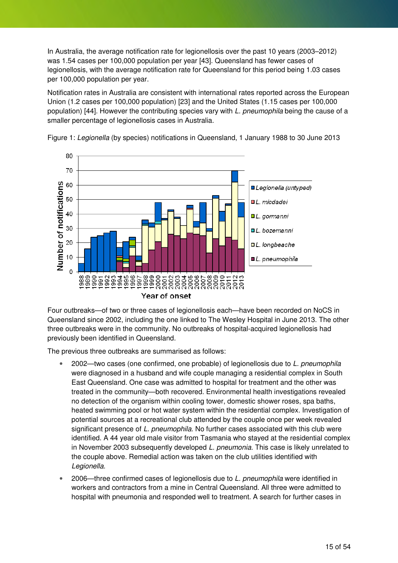In Australia, the average notification rate for legionellosis over the past 10 years (2003–2012) was 1.54 cases per 100,000 population per year [43]. Queensland has fewer cases of legionellosis, with the average notification rate for Queensland for this period being 1.03 cases per 100,000 population per year.

Notification rates in Australia are consistent with international rates reported across the European Union (1.2 cases per 100,000 population) [23] and the United States (1.15 cases per 100,000 population) [44]. However the contributing species vary with L. pneumophila being the cause of a smaller percentage of legionellosis cases in Australia.



Figure 1: Legionella (by species) notifications in Queensland, 1 January 1988 to 30 June 2013

Four outbreaks—of two or three cases of legionellosis each—have been recorded on NoCS in Queensland since 2002, including the one linked to The Wesley Hospital in June 2013. The other three outbreaks were in the community. No outbreaks of hospital-acquired legionellosis had previously been identified in Queensland.

The previous three outbreaks are summarised as follows:

- 2002—two cases (one confirmed, one probable) of legionellosis due to L. pneumophila were diagnosed in a husband and wife couple managing a residential complex in South East Queensland. One case was admitted to hospital for treatment and the other was treated in the community—both recovered. Environmental health investigations revealed no detection of the organism within cooling tower, domestic shower roses, spa baths, heated swimming pool or hot water system within the residential complex. Investigation of potential sources at a recreational club attended by the couple once per week revealed significant presence of L. pneumophila. No further cases associated with this club were identified. A 44 year old male visitor from Tasmania who stayed at the residential complex in November 2003 subsequently developed L. pneumonia. This case is likely unrelated to the couple above. Remedial action was taken on the club utilities identified with Legionella.
- 2006—three confirmed cases of legionellosis due to L. pneumophila were identified in workers and contractors from a mine in Central Queensland. All three were admitted to hospital with pneumonia and responded well to treatment. A search for further cases in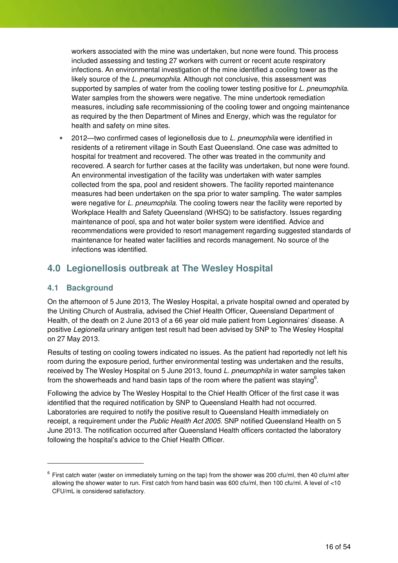workers associated with the mine was undertaken, but none were found. This process included assessing and testing 27 workers with current or recent acute respiratory infections. An environmental investigation of the mine identified a cooling tower as the likely source of the L. pneumophila. Although not conclusive, this assessment was supported by samples of water from the cooling tower testing positive for L, pneumophila. Water samples from the showers were negative. The mine undertook remediation measures, including safe recommissioning of the cooling tower and ongoing maintenance as required by the then Department of Mines and Energy, which was the regulator for health and safety on mine sites.

• 2012—two confirmed cases of legionellosis due to L. pneumophila were identified in residents of a retirement village in South East Queensland. One case was admitted to hospital for treatment and recovered. The other was treated in the community and recovered. A search for further cases at the facility was undertaken, but none were found. An environmental investigation of the facility was undertaken with water samples collected from the spa, pool and resident showers. The facility reported maintenance measures had been undertaken on the spa prior to water sampling. The water samples were negative for L. pneumophila. The cooling towers near the facility were reported by Workplace Health and Safety Queensland (WHSQ) to be satisfactory. Issues regarding maintenance of pool, spa and hot water boiler system were identified. Advice and recommendations were provided to resort management regarding suggested standards of maintenance for heated water facilities and records management. No source of the infections was identified.

### **4.0 Legionellosis outbreak at The Wesley Hospital**

#### **4.1 Background**

 $\overline{a}$ 

On the afternoon of 5 June 2013, The Wesley Hospital, a private hospital owned and operated by the Uniting Church of Australia, advised the Chief Health Officer, Queensland Department of Health, of the death on 2 June 2013 of a 66 year old male patient from Legionnaires' disease. A positive Legionella urinary antigen test result had been advised by SNP to The Wesley Hospital on 27 May 2013.

Results of testing on cooling towers indicated no issues. As the patient had reportedly not left his room during the exposure period, further environmental testing was undertaken and the results, received by The Wesley Hospital on 5 June 2013, found L. pneumophila in water samples taken from the showerheads and hand basin taps of the room where the patient was staying<sup>6</sup>.

Following the advice by The Wesley Hospital to the Chief Health Officer of the first case it was identified that the required notification by SNP to Queensland Health had not occurred. Laboratories are required to notify the positive result to Queensland Health immediately on receipt, a requirement under the Public Health Act 2005. SNP notified Queensland Health on 5 June 2013. The notification occurred after Queensland Health officers contacted the laboratory following the hospital's advice to the Chief Health Officer.

 $^6$  First catch water (water on immediately turning on the tap) from the shower was 200 cfu/ml, then 40 cfu/ml after allowing the shower water to run. First catch from hand basin was 600 cfu/ml, then 100 cfu/ml. A level of <10 CFU/mL is considered satisfactory.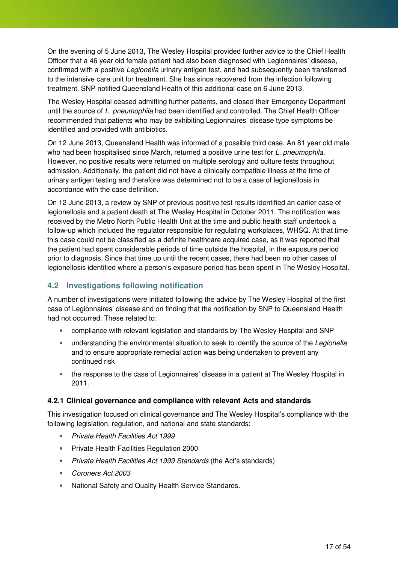On the evening of 5 June 2013, The Wesley Hospital provided further advice to the Chief Health Officer that a 46 year old female patient had also been diagnosed with Legionnaires' disease, confirmed with a positive Legionella urinary antigen test, and had subsequently been transferred to the intensive care unit for treatment. She has since recovered from the infection following treatment. SNP notified Queensland Health of this additional case on 6 June 2013.

The Wesley Hospital ceased admitting further patients, and closed their Emergency Department until the source of L. pneumophila had been identified and controlled. The Chief Health Officer recommended that patients who may be exhibiting Legionnaires' disease type symptoms be identified and provided with antibiotics.

On 12 June 2013, Queensland Health was informed of a possible third case. An 81 year old male who had been hospitalised since March, returned a positive urine test for L. pneumophila. However, no positive results were returned on multiple serology and culture tests throughout admission. Additionally, the patient did not have a clinically compatible illness at the time of urinary antigen testing and therefore was determined not to be a case of legionellosis in accordance with the case definition.

On 12 June 2013, a review by SNP of previous positive test results identified an earlier case of legionellosis and a patient death at The Wesley Hospital in October 2011. The notification was received by the Metro North Public Health Unit at the time and public health staff undertook a follow-up which included the regulator responsible for regulating workplaces, WHSQ. At that time this case could not be classified as a definite healthcare acquired case, as it was reported that the patient had spent considerable periods of time outside the hospital, in the exposure period prior to diagnosis. Since that time up until the recent cases, there had been no other cases of legionellosis identified where a person's exposure period has been spent in The Wesley Hospital.

#### **4.2 Investigations following notification**

A number of investigations were initiated following the advice by The Wesley Hospital of the first case of Legionnaires' disease and on finding that the notification by SNP to Queensland Health had not occurred. These related to:

- compliance with relevant legislation and standards by The Wesley Hospital and SNP
- understanding the environmental situation to seek to identify the source of the Legionella and to ensure appropriate remedial action was being undertaken to prevent any continued risk
- the response to the case of Legionnaires' disease in a patient at The Wesley Hospital in 2011.

#### **4.2.1 Clinical governance and compliance with relevant Acts and standards**

This investigation focused on clinical governance and The Wesley Hospital's compliance with the following legislation, regulation, and national and state standards:

- Private Health Facilities Act 1999
- Private Health Facilities Regulation 2000
- Private Health Facilities Act 1999 Standards (the Act's standards)
- Coroners Act 2003
- National Safety and Quality Health Service Standards.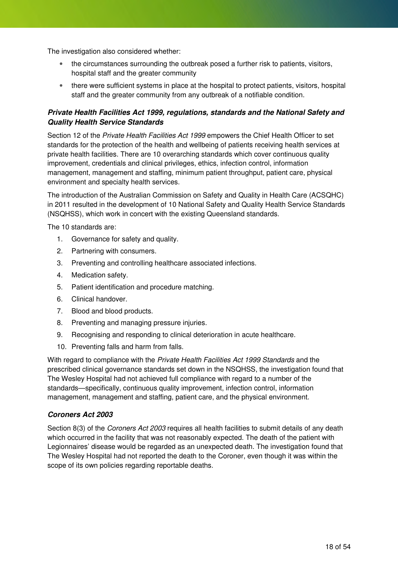The investigation also considered whether:

- the circumstances surrounding the outbreak posed a further risk to patients, visitors, hospital staff and the greater community
- there were sufficient systems in place at the hospital to protect patients, visitors, hospital staff and the greater community from any outbreak of a notifiable condition.

#### **Private Health Facilities Act 1999, regulations, standards and the National Safety and Quality Health Service Standards**

Section 12 of the Private Health Facilities Act 1999 empowers the Chief Health Officer to set standards for the protection of the health and wellbeing of patients receiving health services at private health facilities. There are 10 overarching standards which cover continuous quality improvement, credentials and clinical privileges, ethics, infection control, information management, management and staffing, minimum patient throughput, patient care, physical environment and specialty health services.

The introduction of the Australian Commission on Safety and Quality in Health Care (ACSQHC) in 2011 resulted in the development of 10 National Safety and Quality Health Service Standards (NSQHSS), which work in concert with the existing Queensland standards.

The 10 standards are:

- 1. Governance for safety and quality.
- 2. Partnering with consumers.
- 3. Preventing and controlling healthcare associated infections.
- 4. Medication safety.
- 5. Patient identification and procedure matching.
- 6. Clinical handover.
- 7. Blood and blood products.
- 8. Preventing and managing pressure injuries.
- 9. Recognising and responding to clinical deterioration in acute healthcare.
- 10. Preventing falls and harm from falls.

With regard to compliance with the Private Health Facilities Act 1999 Standards and the prescribed clinical governance standards set down in the NSQHSS, the investigation found that The Wesley Hospital had not achieved full compliance with regard to a number of the standards—specifically, continuous quality improvement, infection control, information management, management and staffing, patient care, and the physical environment.

#### **Coroners Act 2003**

Section 8(3) of the *Coroners Act 2003* requires all health facilities to submit details of any death which occurred in the facility that was not reasonably expected. The death of the patient with Legionnaires' disease would be regarded as an unexpected death. The investigation found that The Wesley Hospital had not reported the death to the Coroner, even though it was within the scope of its own policies regarding reportable deaths.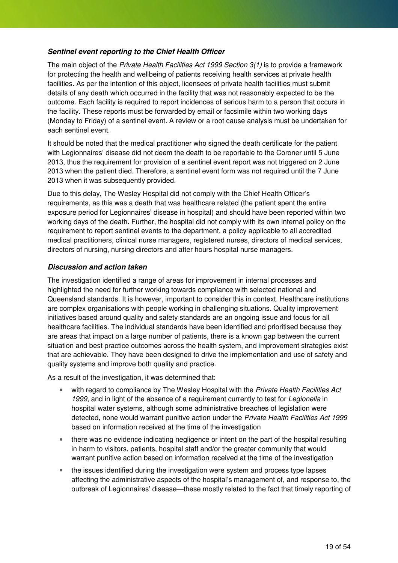#### **Sentinel event reporting to the Chief Health Officer**

The main object of the Private Health Facilities Act 1999 Section 3(1) is to provide a framework for protecting the health and wellbeing of patients receiving health services at private health facilities. As per the intention of this object, licensees of private health facilities must submit details of any death which occurred in the facility that was not reasonably expected to be the outcome. Each facility is required to report incidences of serious harm to a person that occurs in the facility. These reports must be forwarded by email or facsimile within two working days (Monday to Friday) of a sentinel event. A review or a root cause analysis must be undertaken for each sentinel event.

It should be noted that the medical practitioner who signed the death certificate for the patient with Legionnaires' disease did not deem the death to be reportable to the Coroner until 5 June 2013, thus the requirement for provision of a sentinel event report was not triggered on 2 June 2013 when the patient died. Therefore, a sentinel event form was not required until the 7 June 2013 when it was subsequently provided.

Due to this delay, The Wesley Hospital did not comply with the Chief Health Officer's requirements, as this was a death that was healthcare related (the patient spent the entire exposure period for Legionnaires' disease in hospital) and should have been reported within two working days of the death. Further, the hospital did not comply with its own internal policy on the requirement to report sentinel events to the department, a policy applicable to all accredited medical practitioners, clinical nurse managers, registered nurses, directors of medical services, directors of nursing, nursing directors and after hours hospital nurse managers.

#### **Discussion and action taken**

The investigation identified a range of areas for improvement in internal processes and highlighted the need for further working towards compliance with selected national and Queensland standards. It is however, important to consider this in context. Healthcare institutions are complex organisations with people working in challenging situations. Quality improvement initiatives based around quality and safety standards are an ongoing issue and focus for all healthcare facilities. The individual standards have been identified and prioritised because they are areas that impact on a large number of patients, there is a known gap between the current situation and best practice outcomes across the health system, and improvement strategies exist that are achievable. They have been designed to drive the implementation and use of safety and quality systems and improve both quality and practice.

As a result of the investigation, it was determined that:

- with regard to compliance by The Wesley Hospital with the Private Health Facilities Act 1999, and in light of the absence of a requirement currently to test for Legionella in hospital water systems, although some administrative breaches of legislation were detected, none would warrant punitive action under the Private Health Facilities Act 1999 based on information received at the time of the investigation
- there was no evidence indicating negligence or intent on the part of the hospital resulting in harm to visitors, patients, hospital staff and/or the greater community that would warrant punitive action based on information received at the time of the investigation
- the issues identified during the investigation were system and process type lapses affecting the administrative aspects of the hospital's management of, and response to, the outbreak of Legionnaires' disease—these mostly related to the fact that timely reporting of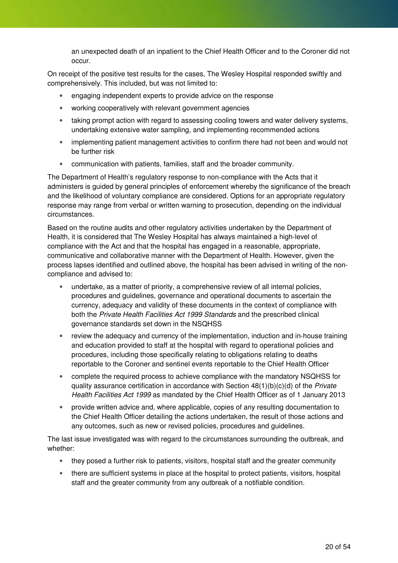an unexpected death of an inpatient to the Chief Health Officer and to the Coroner did not occur.

On receipt of the positive test results for the cases, The Wesley Hospital responded swiftly and comprehensively. This included, but was not limited to:

- engaging independent experts to provide advice on the response
- working cooperatively with relevant government agencies
- taking prompt action with regard to assessing cooling towers and water delivery systems, undertaking extensive water sampling, and implementing recommended actions
- implementing patient management activities to confirm there had not been and would not be further risk
- communication with patients, families, staff and the broader community.

The Department of Health's regulatory response to non-compliance with the Acts that it administers is guided by general principles of enforcement whereby the significance of the breach and the likelihood of voluntary compliance are considered. Options for an appropriate regulatory response may range from verbal or written warning to prosecution, depending on the individual circumstances.

Based on the routine audits and other regulatory activities undertaken by the Department of Health, it is considered that The Wesley Hospital has always maintained a high-level of compliance with the Act and that the hospital has engaged in a reasonable, appropriate, communicative and collaborative manner with the Department of Health. However, given the process lapses identified and outlined above, the hospital has been advised in writing of the noncompliance and advised to:

- undertake, as a matter of priority, a comprehensive review of all internal policies, procedures and guidelines, governance and operational documents to ascertain the currency, adequacy and validity of these documents in the context of compliance with both the Private Health Facilities Act 1999 Standards and the prescribed clinical governance standards set down in the NSQHSS
- review the adequacy and currency of the implementation, induction and in-house training and education provided to staff at the hospital with regard to operational policies and procedures, including those specifically relating to obligations relating to deaths reportable to the Coroner and sentinel events reportable to the Chief Health Officer
- complete the required process to achieve compliance with the mandatory NSQHSS for quality assurance certification in accordance with Section  $48(1)(b)(c)(d)$  of the *Private* Health Facilities Act 1999 as mandated by the Chief Health Officer as of 1 January 2013
- provide written advice and, where applicable, copies of any resulting documentation to the Chief Health Officer detailing the actions undertaken, the result of those actions and any outcomes, such as new or revised policies, procedures and guidelines.

The last issue investigated was with regard to the circumstances surrounding the outbreak, and whether:

- they posed a further risk to patients, visitors, hospital staff and the greater community
- there are sufficient systems in place at the hospital to protect patients, visitors, hospital staff and the greater community from any outbreak of a notifiable condition.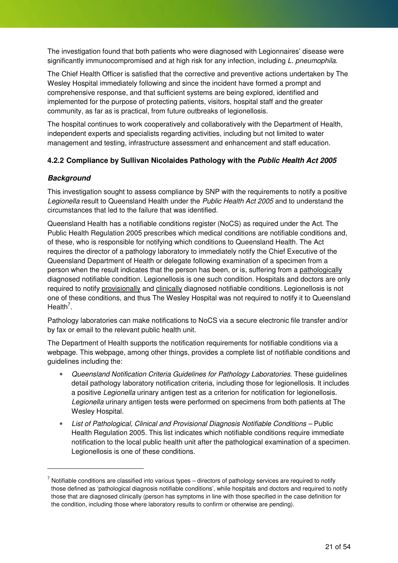The investigation found that both patients who were diagnosed with Legionnaires' disease were significantly immunocompromised and at high risk for any infection, including L. pneumophila.

The Chief Health Officer is satisfied that the corrective and preventive actions undertaken by The Wesley Hospital immediately following and since the incident have formed a prompt and comprehensive response, and that sufficient systems are being explored, identified and implemented for the purpose of protecting patients, visitors, hospital staff and the greater community, as far as is practical, from future outbreaks of legionellosis.

The hospital continues to work cooperatively and collaboratively with the Department of Health, independent experts and specialists regarding activities, including but not limited to water management and testing, infrastructure assessment and enhancement and staff education.

#### **4.2.2 Compliance by Sullivan Nicolaides Pathology with the Public Health Act 2005**

#### **Background**

 $\overline{a}$ 

This investigation sought to assess compliance by SNP with the requirements to notify a positive Legionella result to Queensland Health under the Public Health Act 2005 and to understand the circumstances that led to the failure that was identified.

Queensland Health has a notifiable conditions register (NoCS) as required under the Act. The Public Health Regulation 2005 prescribes which medical conditions are notifiable conditions and, of these, who is responsible for notifying which conditions to Queensland Health. The Act requires the director of a pathology laboratory to immediately notify the Chief Executive of the Queensland Department of Health or delegate following examination of a specimen from a person when the result indicates that the person has been, or is, suffering from a pathologically diagnosed notifiable condition. Legionellosis is one such condition. Hospitals and doctors are only required to notify provisionally and clinically diagnosed notifiable conditions. Legionellosis is not one of these conditions, and thus The Wesley Hospital was not required to notify it to Queensland Health<sup>7</sup>.

Pathology laboratories can make notifications to NoCS via a secure electronic file transfer and/or by fax or email to the relevant public health unit.

The Department of Health supports the notification requirements for notifiable conditions via a webpage. This webpage, among other things, provides a complete list of notifiable conditions and guidelines including the:

- Queensland Notification Criteria Guidelines for Pathology Laboratories. These guidelines detail pathology laboratory notification criteria, including those for legionellosis. It includes a positive Legionella urinary antigen test as a criterion for notification for legionellosis. Legionella urinary antigen tests were performed on specimens from both patients at The Wesley Hospital.
- List of Pathological, Clinical and Provisional Diagnosis Notifiable Conditions Public Health Regulation 2005. This list indicates which notifiable conditions require immediate notification to the local public health unit after the pathological examination of a specimen. Legionellosis is one of these conditions.

 $^7$  Notifiable conditions are classified into various types – directors of pathology services are required to notify those defined as 'pathological diagnosis notifiable conditions', while hospitals and doctors and required to notify those that are diagnosed clinically (person has symptoms in line with those specified in the case definition for the condition, including those where laboratory results to confirm or otherwise are pending).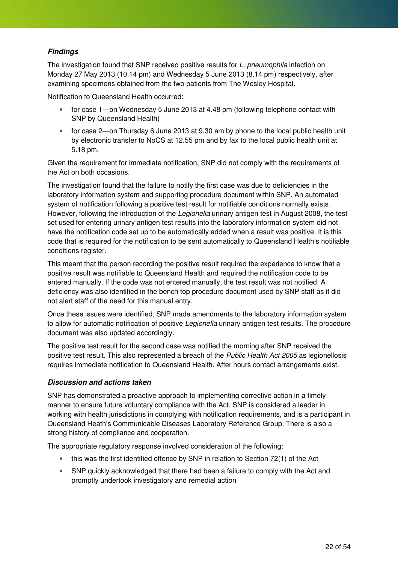#### **Findings**

The investigation found that SNP received positive results for L. pneumophila infection on Monday 27 May 2013 (10.14 pm) and Wednesday 5 June 2013 (8.14 pm) respectively, after examining specimens obtained from the two patients from The Wesley Hospital.

Notification to Queensland Health occurred:

- for case 1—on Wednesday 5 June 2013 at 4.48 pm (following telephone contact with SNP by Queensland Health)
- for case 2—on Thursday 6 June 2013 at 9.30 am by phone to the local public health unit by electronic transfer to NoCS at 12.55 pm and by fax to the local public health unit at 5.18 pm.

Given the requirement for immediate notification, SNP did not comply with the requirements of the Act on both occasions.

The investigation found that the failure to notify the first case was due to deficiencies in the laboratory information system and supporting procedure document within SNP. An automated system of notification following a positive test result for notifiable conditions normally exists. However, following the introduction of the Legionella urinary antigen test in August 2008, the test set used for entering urinary antigen test results into the laboratory information system did not have the notification code set up to be automatically added when a result was positive. It is this code that is required for the notification to be sent automatically to Queensland Health's notifiable conditions register.

This meant that the person recording the positive result required the experience to know that a positive result was notifiable to Queensland Health and required the notification code to be entered manually. If the code was not entered manually, the test result was not notified. A deficiency was also identified in the bench top procedure document used by SNP staff as it did not alert staff of the need for this manual entry.

Once these issues were identified, SNP made amendments to the laboratory information system to allow for automatic notification of positive Legionella urinary antigen test results. The procedure document was also updated accordingly.

The positive test result for the second case was notified the morning after SNP received the positive test result. This also represented a breach of the Public Health Act 2005 as legionellosis requires immediate notification to Queensland Health. After hours contact arrangements exist.

#### **Discussion and actions taken**

SNP has demonstrated a proactive approach to implementing corrective action in a timely manner to ensure future voluntary compliance with the Act. SNP is considered a leader in working with health jurisdictions in complying with notification requirements, and is a participant in Queensland Heath's Communicable Diseases Laboratory Reference Group. There is also a strong history of compliance and cooperation.

The appropriate regulatory response involved consideration of the following:

- this was the first identified offence by SNP in relation to Section 72(1) of the Act
- SNP quickly acknowledged that there had been a failure to comply with the Act and promptly undertook investigatory and remedial action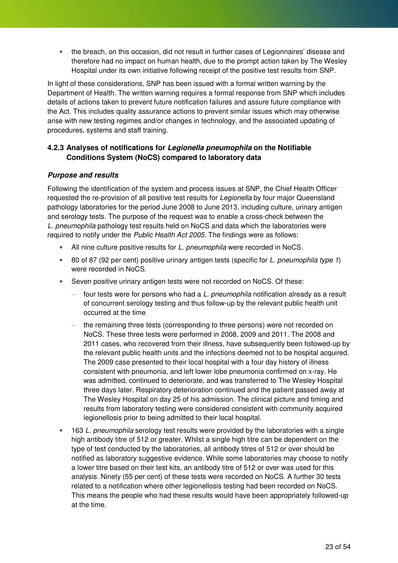• the breach, on this occasion, did not result in further cases of Legionnaires' disease and therefore had no impact on human health, due to the prompt action taken by The Wesley Hospital under its own initiative following receipt of the positive test results from SNP.

In light of these considerations, SNP has been issued with a formal written warning by the Department of Health. The written warning requires a formal response from SNP which includes details of actions taken to prevent future notification failures and assure future compliance with the Act. This includes quality assurance actions to prevent similar issues which may otherwise arise with new testing regimes and/or changes in technology, and the associated updating of procedures, systems and staff training.

#### **4.2.3 Analyses of notifications for Legionella pneumophila on the Notifiable Conditions System (NoCS) compared to laboratory data**

#### **Purpose and results**

Following the identification of the system and process issues at SNP, the Chief Health Officer requested the re-provision of all positive test results for Legionella by four major Queensland pathology laboratories for the period June 2008 to June 2013, including culture, urinary antigen and serology tests. The purpose of the request was to enable a cross-check between the L. pneumophila pathology test results held on NoCS and data which the laboratories were required to notify under the Public Health Act 2005. The findings were as follows:

- All nine culture positive results for L. pneumophila were recorded in NoCS.
- 80 of 87 (92 per cent) positive urinary antigen tests (specific for L. pneumophila type 1) were recorded in NoCS.
- Seven positive urinary antigen tests were not recorded on NoCS. Of these:
	- four tests were for persons who had a L. pneumophila notification already as a result of concurrent serology testing and thus follow-up by the relevant public health unit occurred at the time
	- the remaining three tests (corresponding to three persons) were not recorded on NoCS. These three tests were performed in 2008, 2009 and 2011. The 2008 and 2011 cases, who recovered from their illness, have subsequently been followed-up by the relevant public health units and the infections deemed not to be hospital acquired. The 2009 case presented to their local hospital with a four day history of illness consistent with pneumonia, and left lower lobe pneumonia confirmed on x-ray. He was admitted, continued to deteriorate, and was transferred to The Wesley Hospital three days later. Respiratory deterioration continued and the patient passed away at The Wesley Hospital on day 25 of his admission. The clinical picture and timing and results from laboratory testing were considered consistent with community acquired legionellosis prior to being admitted to their local hospital.
- 163 L, pneumophila serology test results were provided by the laboratories with a single high antibody titre of 512 or greater. Whilst a single high titre can be dependent on the type of test conducted by the laboratories, all antibody titres of 512 or over should be notified as laboratory suggestive evidence. While some laboratories may choose to notify a lower titre based on their test kits, an antibody titre of 512 or over was used for this analysis. Ninety (55 per cent) of these tests were recorded on NoCS. A further 30 tests related to a notification where other legionellosis testing had been recorded on NoCS. This means the people who had these results would have been appropriately followed-up at the time.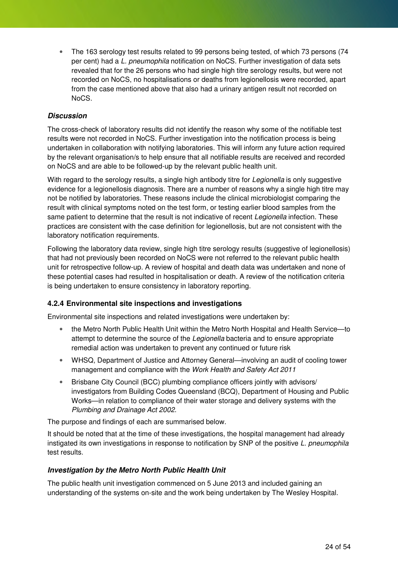• The 163 serology test results related to 99 persons being tested, of which 73 persons (74 per cent) had a L. pneumophila notification on NoCS. Further investigation of data sets revealed that for the 26 persons who had single high titre serology results, but were not recorded on NoCS, no hospitalisations or deaths from legionellosis were recorded, apart from the case mentioned above that also had a urinary antigen result not recorded on NoCS.

#### **Discussion**

The cross-check of laboratory results did not identify the reason why some of the notifiable test results were not recorded in NoCS. Further investigation into the notification process is being undertaken in collaboration with notifying laboratories. This will inform any future action required by the relevant organisation/s to help ensure that all notifiable results are received and recorded on NoCS and are able to be followed-up by the relevant public health unit.

With regard to the serology results, a single high antibody titre for *Legionella* is only suggestive evidence for a legionellosis diagnosis. There are a number of reasons why a single high titre may not be notified by laboratories. These reasons include the clinical microbiologist comparing the result with clinical symptoms noted on the test form, or testing earlier blood samples from the same patient to determine that the result is not indicative of recent Legionella infection. These practices are consistent with the case definition for legionellosis, but are not consistent with the laboratory notification requirements.

Following the laboratory data review, single high titre serology results (suggestive of legionellosis) that had not previously been recorded on NoCS were not referred to the relevant public health unit for retrospective follow-up. A review of hospital and death data was undertaken and none of these potential cases had resulted in hospitalisation or death. A review of the notification criteria is being undertaken to ensure consistency in laboratory reporting.

#### **4.2.4 Environmental site inspections and investigations**

Environmental site inspections and related investigations were undertaken by:

- the Metro North Public Health Unit within the Metro North Hospital and Health Service—to attempt to determine the source of the Legionella bacteria and to ensure appropriate remedial action was undertaken to prevent any continued or future risk
- WHSQ, Department of Justice and Attorney General—involving an audit of cooling tower management and compliance with the Work Health and Safety Act 2011
- Brisbane City Council (BCC) plumbing compliance officers jointly with advisors/ investigators from Building Codes Queensland (BCQ), Department of Housing and Public Works—in relation to compliance of their water storage and delivery systems with the Plumbing and Drainage Act 2002.

The purpose and findings of each are summarised below.

It should be noted that at the time of these investigations, the hospital management had already instigated its own investigations in response to notification by SNP of the positive L. pneumophila test results.

#### **Investigation by the Metro North Public Health Unit**

The public health unit investigation commenced on 5 June 2013 and included gaining an understanding of the systems on-site and the work being undertaken by The Wesley Hospital.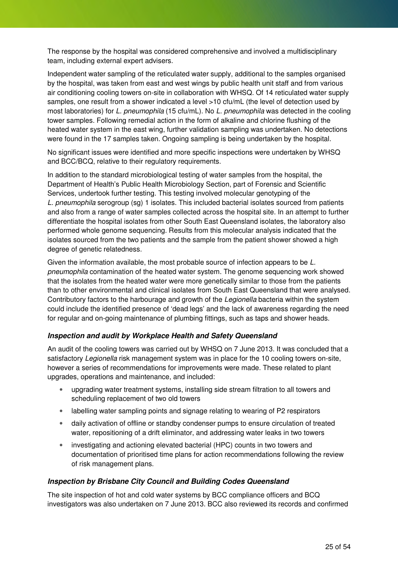The response by the hospital was considered comprehensive and involved a multidisciplinary team, including external expert advisers.

Independent water sampling of the reticulated water supply, additional to the samples organised by the hospital, was taken from east and west wings by public health unit staff and from various air conditioning cooling towers on-site in collaboration with WHSQ. Of 14 reticulated water supply samples, one result from a shower indicated a level >10 cfu/mL (the level of detection used by most laboratories) for L. pneumophila (15 cfu/mL). No L. pneumophila was detected in the cooling tower samples. Following remedial action in the form of alkaline and chlorine flushing of the heated water system in the east wing, further validation sampling was undertaken. No detections were found in the 17 samples taken. Ongoing sampling is being undertaken by the hospital.

No significant issues were identified and more specific inspections were undertaken by WHSQ and BCC/BCQ, relative to their regulatory requirements.

In addition to the standard microbiological testing of water samples from the hospital, the Department of Health's Public Health Microbiology Section, part of Forensic and Scientific Services, undertook further testing. This testing involved molecular genotyping of the L. pneumophila serogroup (sg) 1 isolates. This included bacterial isolates sourced from patients and also from a range of water samples collected across the hospital site. In an attempt to further differentiate the hospital isolates from other South East Queensland isolates, the laboratory also performed whole genome sequencing. Results from this molecular analysis indicated that the isolates sourced from the two patients and the sample from the patient shower showed a high degree of genetic relatedness.

Given the information available, the most probable source of infection appears to be L. pneumophila contamination of the heated water system. The genome sequencing work showed that the isolates from the heated water were more genetically similar to those from the patients than to other environmental and clinical isolates from South East Queensland that were analysed. Contributory factors to the harbourage and growth of the Legionella bacteria within the system could include the identified presence of 'dead legs' and the lack of awareness regarding the need for regular and on-going maintenance of plumbing fittings, such as taps and shower heads.

#### **Inspection and audit by Workplace Health and Safety Queensland**

An audit of the cooling towers was carried out by WHSQ on 7 June 2013. It was concluded that a satisfactory Legionella risk management system was in place for the 10 cooling towers on-site, however a series of recommendations for improvements were made. These related to plant upgrades, operations and maintenance, and included:

- upgrading water treatment systems, installing side stream filtration to all towers and scheduling replacement of two old towers
- labelling water sampling points and signage relating to wearing of P2 respirators
- daily activation of offline or standby condenser pumps to ensure circulation of treated water, repositioning of a drift eliminator, and addressing water leaks in two towers
- investigating and actioning elevated bacterial (HPC) counts in two towers and documentation of prioritised time plans for action recommendations following the review of risk management plans.

#### **Inspection by Brisbane City Council and Building Codes Queensland**

The site inspection of hot and cold water systems by BCC compliance officers and BCQ investigators was also undertaken on 7 June 2013. BCC also reviewed its records and confirmed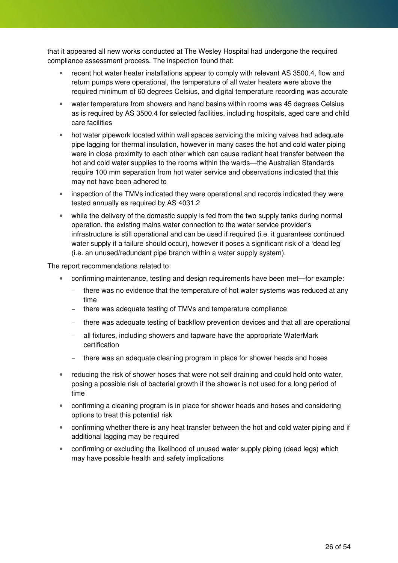that it appeared all new works conducted at The Wesley Hospital had undergone the required compliance assessment process. The inspection found that:

- recent hot water heater installations appear to comply with relevant AS 3500.4, flow and return pumps were operational, the temperature of all water heaters were above the required minimum of 60 degrees Celsius, and digital temperature recording was accurate
- water temperature from showers and hand basins within rooms was 45 degrees Celsius as is required by AS 3500.4 for selected facilities, including hospitals, aged care and child care facilities
- hot water pipework located within wall spaces servicing the mixing valves had adequate pipe lagging for thermal insulation, however in many cases the hot and cold water piping were in close proximity to each other which can cause radiant heat transfer between the hot and cold water supplies to the rooms within the wards—the Australian Standards require 100 mm separation from hot water service and observations indicated that this may not have been adhered to
- inspection of the TMVs indicated they were operational and records indicated they were tested annually as required by AS 4031.2
- while the delivery of the domestic supply is fed from the two supply tanks during normal operation, the existing mains water connection to the water service provider's infrastructure is still operational and can be used if required (i.e. it guarantees continued water supply if a failure should occur), however it poses a significant risk of a 'dead leg' (i.e. an unused/redundant pipe branch within a water supply system).

The report recommendations related to:

- confirming maintenance, testing and design requirements have been met—for example:
	- there was no evidence that the temperature of hot water systems was reduced at any time
	- there was adequate testing of TMVs and temperature compliance
	- there was adequate testing of backflow prevention devices and that all are operational
	- all fixtures, including showers and tapware have the appropriate WaterMark certification
	- there was an adequate cleaning program in place for shower heads and hoses
- reducing the risk of shower hoses that were not self draining and could hold onto water, posing a possible risk of bacterial growth if the shower is not used for a long period of time
- confirming a cleaning program is in place for shower heads and hoses and considering options to treat this potential risk
- confirming whether there is any heat transfer between the hot and cold water piping and if additional lagging may be required
- confirming or excluding the likelihood of unused water supply piping (dead legs) which may have possible health and safety implications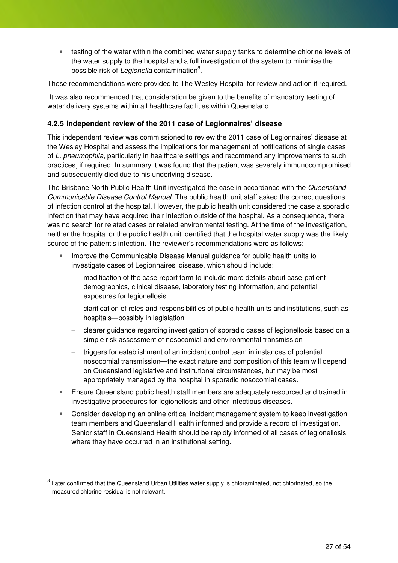• testing of the water within the combined water supply tanks to determine chlorine levels of the water supply to the hospital and a full investigation of the system to minimise the possible risk of *Legionella* contamination<sup>8</sup>.

These recommendations were provided to The Wesley Hospital for review and action if required.

It was also recommended that consideration be given to the benefits of mandatory testing of water delivery systems within all healthcare facilities within Queensland.

#### **4.2.5 Independent review of the 2011 case of Legionnaires' disease**

This independent review was commissioned to review the 2011 case of Legionnaires' disease at the Wesley Hospital and assess the implications for management of notifications of single cases of L. pneumophila, particularly in healthcare settings and recommend any improvements to such practices, if required. In summary it was found that the patient was severely immunocompromised and subsequently died due to his underlying disease.

The Brisbane North Public Health Unit investigated the case in accordance with the Queensland Communicable Disease Control Manual. The public health unit staff asked the correct questions of infection control at the hospital. However, the public health unit considered the case a sporadic infection that may have acquired their infection outside of the hospital. As a consequence, there was no search for related cases or related environmental testing. At the time of the investigation, neither the hospital or the public health unit identified that the hospital water supply was the likely source of the patient's infection. The reviewer's recommendations were as follows:

- Improve the Communicable Disease Manual guidance for public health units to investigate cases of Legionnaires' disease, which should include:
	- − modification of the case report form to include more details about case-patient demographics, clinical disease, laboratory testing information, and potential exposures for legionellosis
	- − clarification of roles and responsibilities of public health units and institutions, such as hospitals—possibly in legislation
	- − clearer guidance regarding investigation of sporadic cases of legionellosis based on a simple risk assessment of nosocomial and environmental transmission
	- triggers for establishment of an incident control team in instances of potential nosocomial transmission—the exact nature and composition of this team will depend on Queensland legislative and institutional circumstances, but may be most appropriately managed by the hospital in sporadic nosocomial cases.
- Ensure Queensland public health staff members are adequately resourced and trained in investigative procedures for legionellosis and other infectious diseases.
- Consider developing an online critical incident management system to keep investigation team members and Queensland Health informed and provide a record of investigation. Senior staff in Queensland Health should be rapidly informed of all cases of legionellosis where they have occurred in an institutional setting.

 $\ddot{ }$ 

<sup>&</sup>lt;sup>8</sup> Later confirmed that the Queensland Urban Utilities water supply is chloraminated, not chlorinated, so the measured chlorine residual is not relevant.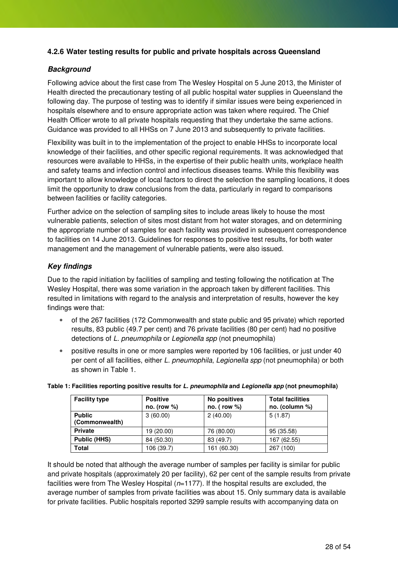#### **4.2.6 Water testing results for public and private hospitals across Queensland**

#### **Background**

Following advice about the first case from The Wesley Hospital on 5 June 2013, the Minister of Health directed the precautionary testing of all public hospital water supplies in Queensland the following day. The purpose of testing was to identify if similar issues were being experienced in hospitals elsewhere and to ensure appropriate action was taken where required. The Chief Health Officer wrote to all private hospitals requesting that they undertake the same actions. Guidance was provided to all HHSs on 7 June 2013 and subsequently to private facilities.

Flexibility was built in to the implementation of the project to enable HHSs to incorporate local knowledge of their facilities, and other specific regional requirements. It was acknowledged that resources were available to HHSs, in the expertise of their public health units, workplace health and safety teams and infection control and infectious diseases teams. While this flexibility was important to allow knowledge of local factors to direct the selection the sampling locations, it does limit the opportunity to draw conclusions from the data, particularly in regard to comparisons between facilities or facility categories.

Further advice on the selection of sampling sites to include areas likely to house the most vulnerable patients, selection of sites most distant from hot water storages, and on determining the appropriate number of samples for each facility was provided in subsequent correspondence to facilities on 14 June 2013. Guidelines for responses to positive test results, for both water management and the management of vulnerable patients, were also issued.

#### **Key findings**

Due to the rapid initiation by facilities of sampling and testing following the notification at The Wesley Hospital, there was some variation in the approach taken by different facilities. This resulted in limitations with regard to the analysis and interpretation of results, however the key findings were that:

- of the 267 facilities (172 Commonwealth and state public and 95 private) which reported results, 83 public (49.7 per cent) and 76 private facilities (80 per cent) had no positive detections of L. pneumophila or Legionella spp (not pneumophila)
- positive results in one or more samples were reported by 106 facilities, or just under 40 per cent of all facilities, either L. pneumophila, Legionella spp (not pneumophila) or both as shown in Table 1.

| <b>Facility type</b> | <b>Positive</b> | No positives     | <b>Total facilities</b> |
|----------------------|-----------------|------------------|-------------------------|
|                      | no. (row $%$ )  | $no.$ (row $%$ ) | no. (column $%$ )       |
| <b>Public</b>        | 3(60.00)        | 2(40.00)         | 5(1.87)                 |
| (Commonwealth)       |                 |                  |                         |
| <b>Private</b>       | 19 (20.00)      | 76 (80.00)       | 95 (35.58)              |
| <b>Public (HHS)</b>  | 84 (50.30)      | 83 (49.7)        | 167 (62.55)             |
| <b>Total</b>         | 106 (39.7)      | 161 (60.30)      | 267 (100)               |

#### **Table 1: Facilities reporting positive results for L. pneumophila and Legionella spp (not pneumophila)**

It should be noted that although the average number of samples per facility is similar for public and private hospitals (approximately 20 per facility), 62 per cent of the sample results from private facilities were from The Wesley Hospital  $(n=1177)$ . If the hospital results are excluded, the average number of samples from private facilities was about 15. Only summary data is available for private facilities. Public hospitals reported 3299 sample results with accompanying data on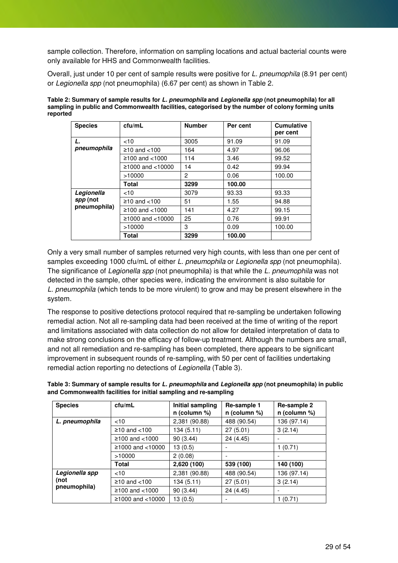sample collection. Therefore, information on sampling locations and actual bacterial counts were only available for HHS and Commonwealth facilities.

Overall, just under 10 per cent of sample results were positive for L. pneumophila (8.91 per cent) or Legionella spp (not pneumophila) (6.67 per cent) as shown in Table 2.

| Table 2: Summary of sample results for L. pneumophila and Legionella spp (not pneumophila) for all |
|----------------------------------------------------------------------------------------------------|
| sampling in public and Commonwealth facilities, categorised by the number of colony forming units  |
| reported                                                                                           |

| <b>Species</b> | ctu/mL              | <b>Number</b> | Per cent | <b>Cumulative</b><br>per cent |
|----------------|---------------------|---------------|----------|-------------------------------|
| L.             | <10                 | 3005          | 91.09    | 91.09                         |
| pneumophila    | $≥10$ and <100      | 164           | 4.97     | 96.06                         |
|                | ≥100 and $<$ 1000   | 114           | 3.46     | 99.52                         |
|                | $≥1000$ and <10000  | 14            | 0.42     | 99.94                         |
|                | >10000              | 2             | 0.06     | 100.00                        |
|                | Total               | 3299          | 100.00   |                               |
| Legionella     | < 10                | 3079          | 93.33    | 93.33                         |
| spp (not       | $≥10$ and <100      | 51            | 1.55     | 94.88                         |
| pneumophila)   | ≥100 and $<$ 1000   | 141           | 4.27     | 99.15                         |
|                | ≥1000 and $<$ 10000 | 25            | 0.76     | 99.91                         |
|                | >10000              | 3             | 0.09     | 100.00                        |
|                | Total               | 3299          | 100.00   |                               |

Only a very small number of samples returned very high counts, with less than one per cent of samples exceeding 1000 cfu/mL of either L. pneumophila or Legionella spp (not pneumophila). The significance of Legionella spp (not pneumophila) is that while the L. pneumophila was not detected in the sample, other species were, indicating the environment is also suitable for L. pneumophila (which tends to be more virulent) to grow and may be present elsewhere in the system.

The response to positive detections protocol required that re-sampling be undertaken following remedial action. Not all re-sampling data had been received at the time of writing of the report and limitations associated with data collection do not allow for detailed interpretation of data to make strong conclusions on the efficacy of follow-up treatment. Although the numbers are small, and not all remediation and re-sampling has been completed, there appears to be significant improvement in subsequent rounds of re-sampling, with 50 per cent of facilities undertaking remedial action reporting no detections of Legionella (Table 3).

**Table 3: Summary of sample results for L. pneumophila and Legionella spp (not pneumophila) in public and Commonwealth facilities for initial sampling and re-sampling** 

| <b>Species</b> | ctu/mL             | Initial sampling<br>$n$ (column %) | Re-sample 1<br>$n$ (column %) | Re-sample 2<br>n (column %) |
|----------------|--------------------|------------------------------------|-------------------------------|-----------------------------|
| L. pneumophila | <10                | 2,381 (90.88)                      | 488 (90.54)                   | 136 (97.14)                 |
|                | $≥10$ and <100     | 134 (5.11)                         | 27(5.01)                      | 3(2.14)                     |
|                | $≥100$ and <1000   | 90 (3.44)                          | 24 (4.45)                     |                             |
|                | $≥1000$ and <10000 | 13(0.5)                            |                               | 1(0.71)                     |
|                | >10000             | 2(0.08)                            |                               |                             |
|                | Total              | 2,620 (100)                        | 539 (100)                     | 140 (100)                   |
| Legionella spp | < 10               | 2,381 (90.88)                      | 488 (90.54)                   | 136 (97.14)                 |
| (not           | $≥10$ and <100     | 134 (5.11)                         | 27(5.01)                      | 3(2.14)                     |
| pneumophila)   | $≥100$ and <1000   | 90(3.44)                           | 24 (4.45)                     | $\overline{\phantom{0}}$    |
|                | $≥1000$ and <10000 | 13 (0.5)                           |                               | 1(0.71)                     |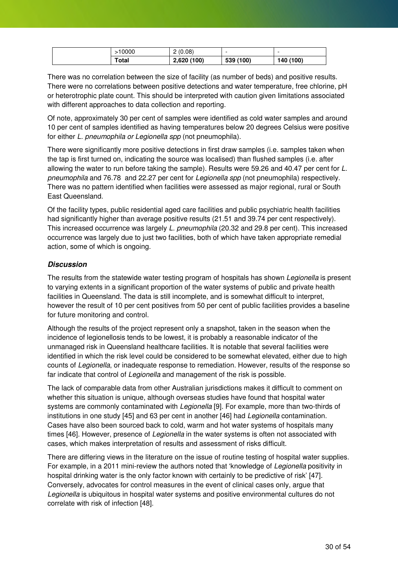| 10000 | (0.08)<br>- | -         | -         |
|-------|-------------|-----------|-----------|
| Total | 2,620(100)  | 539 (100) | 140 (100) |

There was no correlation between the size of facility (as number of beds) and positive results. There were no correlations between positive detections and water temperature, free chlorine, pH or heterotrophic plate count. This should be interpreted with caution given limitations associated with different approaches to data collection and reporting.

Of note, approximately 30 per cent of samples were identified as cold water samples and around 10 per cent of samples identified as having temperatures below 20 degrees Celsius were positive for either L. pneumophila or Legionella spp (not pneumophila).

There were significantly more positive detections in first draw samples (i.e. samples taken when the tap is first turned on, indicating the source was localised) than flushed samples (i.e. after allowing the water to run before taking the sample). Results were 59.26 and 40.47 per cent for L. pneumophila and 76.78 and 22.27 per cent for Legionella spp (not pneumophila) respectively. There was no pattern identified when facilities were assessed as major regional, rural or South East Queensland.

Of the facility types, public residential aged care facilities and public psychiatric health facilities had significantly higher than average positive results (21.51 and 39.74 per cent respectively). This increased occurrence was largely L. pneumophila (20.32 and 29.8 per cent). This increased occurrence was largely due to just two facilities, both of which have taken appropriate remedial action, some of which is ongoing.

#### **Discussion**

The results from the statewide water testing program of hospitals has shown *Legionella* is present to varying extents in a significant proportion of the water systems of public and private health facilities in Queensland. The data is still incomplete, and is somewhat difficult to interpret, however the result of 10 per cent positives from 50 per cent of public facilities provides a baseline for future monitoring and control.

Although the results of the project represent only a snapshot, taken in the season when the incidence of legionellosis tends to be lowest, it is probably a reasonable indicator of the unmanaged risk in Queensland healthcare facilities. It is notable that several facilities were identified in which the risk level could be considered to be somewhat elevated, either due to high counts of Legionella, or inadequate response to remediation. However, results of the response so far indicate that control of Legionella and management of the risk is possible.

The lack of comparable data from other Australian jurisdictions makes it difficult to comment on whether this situation is unique, although overseas studies have found that hospital water systems are commonly contaminated with *Legionella* [9]. For example, more than two-thirds of institutions in one study [45] and 63 per cent in another [46] had Legionella contamination. Cases have also been sourced back to cold, warm and hot water systems of hospitals many times [46]. However, presence of Legionella in the water systems is often not associated with cases, which makes interpretation of results and assessment of risks difficult.

There are differing views in the literature on the issue of routine testing of hospital water supplies. For example, in a 2011 mini-review the authors noted that 'knowledge of Legionella positivity in hospital drinking water is the only factor known with certainly to be predictive of risk' [47]. Conversely, advocates for control measures in the event of clinical cases only, argue that Legionella is ubiquitous in hospital water systems and positive environmental cultures do not correlate with risk of infection [48].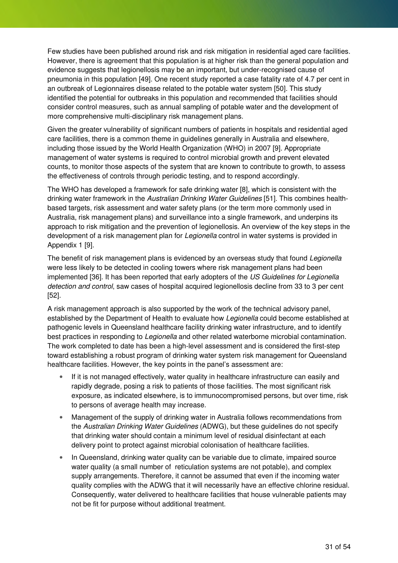Few studies have been published around risk and risk mitigation in residential aged care facilities. However, there is agreement that this population is at higher risk than the general population and evidence suggests that legionellosis may be an important, but under-recognised cause of pneumonia in this population [49]. One recent study reported a case fatality rate of 4.7 per cent in an outbreak of Legionnaires disease related to the potable water system [50]. This study identified the potential for outbreaks in this population and recommended that facilities should consider control measures, such as annual sampling of potable water and the development of more comprehensive multi-disciplinary risk management plans.

Given the greater vulnerability of significant numbers of patients in hospitals and residential aged care facilities, there is a common theme in guidelines generally in Australia and elsewhere, including those issued by the World Health Organization (WHO) in 2007 [9]. Appropriate management of water systems is required to control microbial growth and prevent elevated counts, to monitor those aspects of the system that are known to contribute to growth, to assess the effectiveness of controls through periodic testing, and to respond accordingly.

The WHO has developed a framework for safe drinking water [8], which is consistent with the drinking water framework in the Australian Drinking Water Guidelines [51]. This combines healthbased targets, risk assessment and water safety plans (or the term more commonly used in Australia, risk management plans) and surveillance into a single framework, and underpins its approach to risk mitigation and the prevention of legionellosis. An overview of the key steps in the development of a risk management plan for *Legionella* control in water systems is provided in Appendix 1 [9].

The benefit of risk management plans is evidenced by an overseas study that found Legionella were less likely to be detected in cooling towers where risk management plans had been implemented [36]. It has been reported that early adopters of the US Guidelines for Legionella detection and control, saw cases of hospital acquired legionellosis decline from 33 to 3 per cent [52].

A risk management approach is also supported by the work of the technical advisory panel, established by the Department of Health to evaluate how Legionella could become established at pathogenic levels in Queensland healthcare facility drinking water infrastructure, and to identify best practices in responding to Legionella and other related waterborne microbial contamination. The work completed to date has been a high-level assessment and is considered the first-step toward establishing a robust program of drinking water system risk management for Queensland healthcare facilities. However, the key points in the panel's assessment are:

- If it is not managed effectively, water quality in healthcare infrastructure can easily and rapidly degrade, posing a risk to patients of those facilities. The most significant risk exposure, as indicated elsewhere, is to immunocompromised persons, but over time, risk to persons of average health may increase.
- Management of the supply of drinking water in Australia follows recommendations from the Australian Drinking Water Guidelines (ADWG), but these guidelines do not specify that drinking water should contain a minimum level of residual disinfectant at each delivery point to protect against microbial colonisation of healthcare facilities.
- In Queensland, drinking water quality can be variable due to climate, impaired source water quality (a small number of reticulation systems are not potable), and complex supply arrangements. Therefore, it cannot be assumed that even if the incoming water quality complies with the ADWG that it will necessarily have an effective chlorine residual. Consequently, water delivered to healthcare facilities that house vulnerable patients may not be fit for purpose without additional treatment.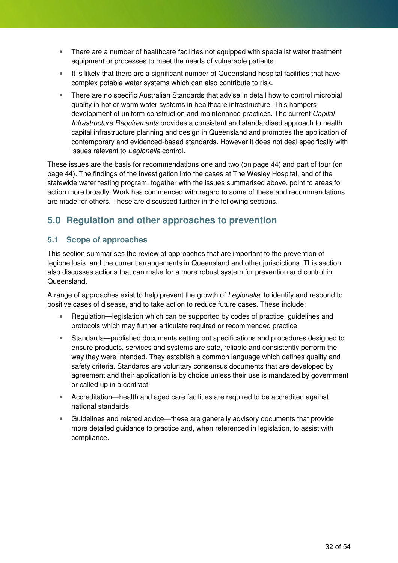- There are a number of healthcare facilities not equipped with specialist water treatment equipment or processes to meet the needs of vulnerable patients.
- It is likely that there are a significant number of Queensland hospital facilities that have complex potable water systems which can also contribute to risk.
- There are no specific Australian Standards that advise in detail how to control microbial quality in hot or warm water systems in healthcare infrastructure. This hampers development of uniform construction and maintenance practices. The current *Capital* Infrastructure Requirements provides a consistent and standardised approach to health capital infrastructure planning and design in Queensland and promotes the application of contemporary and evidenced-based standards. However it does not deal specifically with issues relevant to Legionella control.

These issues are the basis for recommendations one and two (on page 44) and part of four (on page 44). The findings of the investigation into the cases at The Wesley Hospital, and of the statewide water testing program, together with the issues summarised above, point to areas for action more broadly. Work has commenced with regard to some of these and recommendations are made for others. These are discussed further in the following sections.

### **5.0 Regulation and other approaches to prevention**

#### **5.1 Scope of approaches**

This section summarises the review of approaches that are important to the prevention of legionellosis, and the current arrangements in Queensland and other jurisdictions. This section also discusses actions that can make for a more robust system for prevention and control in Queensland.

A range of approaches exist to help prevent the growth of Legionella, to identify and respond to positive cases of disease, and to take action to reduce future cases. These include:

- Regulation—legislation which can be supported by codes of practice, guidelines and protocols which may further articulate required or recommended practice.
- Standards—published documents setting out specifications and procedures designed to ensure products, services and systems are safe, reliable and consistently perform the way they were intended. They establish a common language which defines quality and safety criteria. Standards are voluntary consensus documents that are developed by agreement and their application is by choice unless their use is mandated by government or called up in a contract.
- Accreditation—health and aged care facilities are required to be accredited against national standards.
- Guidelines and related advice—these are generally advisory documents that provide more detailed guidance to practice and, when referenced in legislation, to assist with compliance.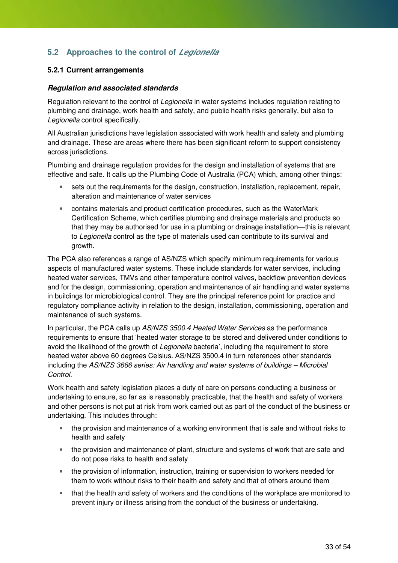### **5.2 Approaches to the control of Legionella**

#### **5.2.1 Current arrangements**

#### **Regulation and associated standards**

Regulation relevant to the control of Legionella in water systems includes regulation relating to plumbing and drainage, work health and safety, and public health risks generally, but also to Legionella control specifically.

All Australian jurisdictions have legislation associated with work health and safety and plumbing and drainage. These are areas where there has been significant reform to support consistency across jurisdictions.

Plumbing and drainage regulation provides for the design and installation of systems that are effective and safe. It calls up the Plumbing Code of Australia (PCA) which, among other things:

- sets out the requirements for the design, construction, installation, replacement, repair, alteration and maintenance of water services
- contains materials and product certification procedures, such as the WaterMark Certification Scheme, which certifies plumbing and drainage materials and products so that they may be authorised for use in a plumbing or drainage installation—this is relevant to Legionella control as the type of materials used can contribute to its survival and growth.

The PCA also references a range of AS/NZS which specify minimum requirements for various aspects of manufactured water systems. These include standards for water services, including heated water services, TMVs and other temperature control valves, backflow prevention devices and for the design, commissioning, operation and maintenance of air handling and water systems in buildings for microbiological control. They are the principal reference point for practice and regulatory compliance activity in relation to the design, installation, commissioning, operation and maintenance of such systems.

In particular, the PCA calls up AS/NZS 3500.4 Heated Water Services as the performance requirements to ensure that 'heated water storage to be stored and delivered under conditions to avoid the likelihood of the growth of Legionella bacteria', including the requirement to store heated water above 60 degrees Celsius. AS/NZS 3500.4 in turn references other standards including the AS/NZS 3666 series: Air handling and water systems of buildings – Microbial Control.

Work health and safety legislation places a duty of care on persons conducting a business or undertaking to ensure, so far as is reasonably practicable, that the health and safety of workers and other persons is not put at risk from work carried out as part of the conduct of the business or undertaking. This includes through:

- the provision and maintenance of a working environment that is safe and without risks to health and safety
- the provision and maintenance of plant, structure and systems of work that are safe and do not pose risks to health and safety
- the provision of information, instruction, training or supervision to workers needed for them to work without risks to their health and safety and that of others around them
- that the health and safety of workers and the conditions of the workplace are monitored to prevent injury or illness arising from the conduct of the business or undertaking.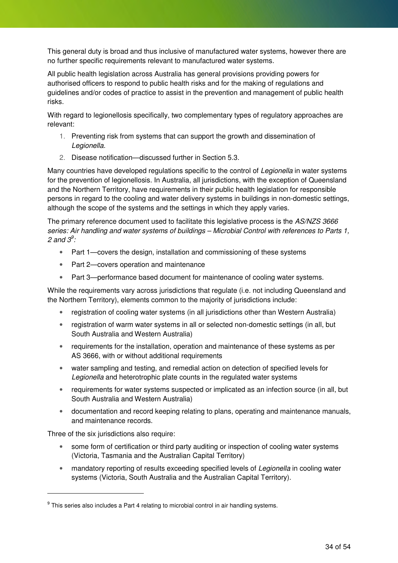This general duty is broad and thus inclusive of manufactured water systems, however there are no further specific requirements relevant to manufactured water systems.

All public health legislation across Australia has general provisions providing powers for authorised officers to respond to public health risks and for the making of regulations and guidelines and/or codes of practice to assist in the prevention and management of public health risks.

With regard to legionellosis specifically, two complementary types of regulatory approaches are relevant:

- 1. Preventing risk from systems that can support the growth and dissemination of Legionella.
- 2. Disease notification—discussed further in Section 5.3.

Many countries have developed regulations specific to the control of Legionella in water systems for the prevention of legionellosis. In Australia, all jurisdictions, with the exception of Queensland and the Northern Territory, have requirements in their public health legislation for responsible persons in regard to the cooling and water delivery systems in buildings in non-domestic settings, although the scope of the systems and the settings in which they apply varies.

The primary reference document used to facilitate this legislative process is the AS/NZS 3666 series: Air handling and water systems of buildings – Microbial Control with references to Parts 1, 2 and  $3^9$ :

- Part 1—covers the design, installation and commissioning of these systems
- Part 2—covers operation and maintenance
- Part 3—performance based document for maintenance of cooling water systems.

While the requirements vary across jurisdictions that regulate (i.e. not including Queensland and the Northern Territory), elements common to the majority of jurisdictions include:

- registration of cooling water systems (in all jurisdictions other than Western Australia)
- registration of warm water systems in all or selected non-domestic settings (in all, but South Australia and Western Australia)
- requirements for the installation, operation and maintenance of these systems as per AS 3666, with or without additional requirements
- water sampling and testing, and remedial action on detection of specified levels for Legionella and heterotrophic plate counts in the regulated water systems
- requirements for water systems suspected or implicated as an infection source (in all, but South Australia and Western Australia)
- documentation and record keeping relating to plans, operating and maintenance manuals, and maintenance records.

Three of the six jurisdictions also require:

 $\overline{a}$ 

- some form of certification or third party auditing or inspection of cooling water systems (Victoria, Tasmania and the Australian Capital Territory)
- mandatory reporting of results exceeding specified levels of Legionella in cooling water systems (Victoria, South Australia and the Australian Capital Territory).

 $^9$  This series also includes a Part 4 relating to microbial control in air handling systems.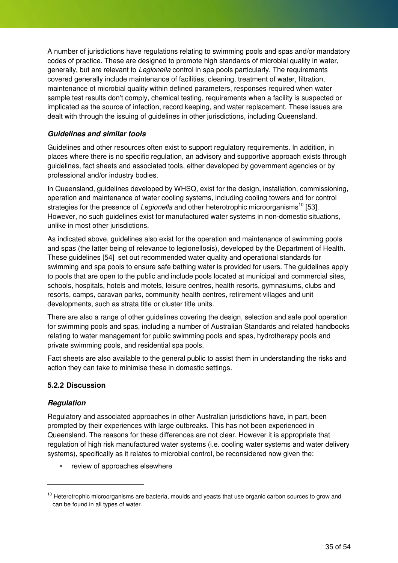A number of jurisdictions have regulations relating to swimming pools and spas and/or mandatory codes of practice. These are designed to promote high standards of microbial quality in water, generally, but are relevant to Legionella control in spa pools particularly. The requirements covered generally include maintenance of facilities, cleaning, treatment of water, filtration, maintenance of microbial quality within defined parameters, responses required when water sample test results don't comply, chemical testing, requirements when a facility is suspected or implicated as the source of infection, record keeping, and water replacement. These issues are dealt with through the issuing of guidelines in other jurisdictions, including Queensland.

#### **Guidelines and similar tools**

Guidelines and other resources often exist to support regulatory requirements. In addition, in places where there is no specific regulation, an advisory and supportive approach exists through guidelines, fact sheets and associated tools, either developed by government agencies or by professional and/or industry bodies.

In Queensland, guidelines developed by WHSQ, exist for the design, installation, commissioning, operation and maintenance of water cooling systems, including cooling towers and for control strategies for the presence of Legionella and other heterotrophic microorganisms<sup>10</sup> [53]. However, no such guidelines exist for manufactured water systems in non-domestic situations, unlike in most other jurisdictions.

As indicated above, guidelines also exist for the operation and maintenance of swimming pools and spas (the latter being of relevance to legionellosis), developed by the Department of Health. These guidelines [54] set out recommended water quality and operational standards for swimming and spa pools to ensure safe bathing water is provided for users. The guidelines apply to pools that are open to the public and include pools located at municipal and commercial sites, schools, hospitals, hotels and motels, leisure centres, health resorts, gymnasiums, clubs and resorts, camps, caravan parks, community health centres, retirement villages and unit developments, such as strata title or cluster title units.

There are also a range of other guidelines covering the design, selection and safe pool operation for swimming pools and spas, including a number of Australian Standards and related handbooks relating to water management for public swimming pools and spas, hydrotherapy pools and private swimming pools, and residential spa pools.

Fact sheets are also available to the general public to assist them in understanding the risks and action they can take to minimise these in domestic settings.

#### **5.2.2 Discussion**

#### **Regulation**

 $\ddot{ }$ 

Regulatory and associated approaches in other Australian jurisdictions have, in part, been prompted by their experiences with large outbreaks. This has not been experienced in Queensland. The reasons for these differences are not clear. However it is appropriate that regulation of high risk manufactured water systems (i.e. cooling water systems and water delivery systems), specifically as it relates to microbial control, be reconsidered now given the:

• review of approaches elsewhere

<sup>&</sup>lt;sup>10</sup> Heterotrophic microorganisms are bacteria, moulds and yeasts that use organic carbon sources to grow and can be found in all types of water.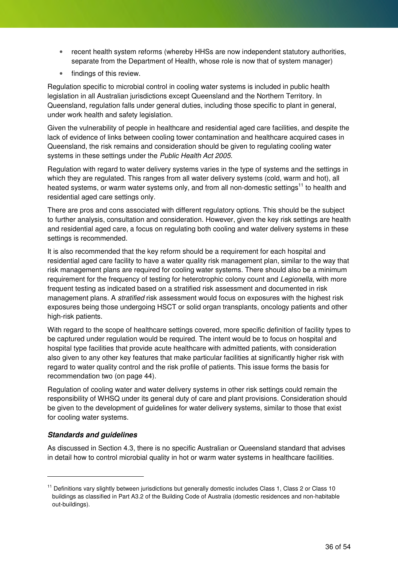- recent health system reforms (whereby HHSs are now independent statutory authorities, separate from the Department of Health, whose role is now that of system manager)
- findings of this review.

Regulation specific to microbial control in cooling water systems is included in public health legislation in all Australian jurisdictions except Queensland and the Northern Territory. In Queensland, regulation falls under general duties, including those specific to plant in general, under work health and safety legislation.

Given the vulnerability of people in healthcare and residential aged care facilities, and despite the lack of evidence of links between cooling tower contamination and healthcare acquired cases in Queensland, the risk remains and consideration should be given to regulating cooling water systems in these settings under the Public Health Act 2005.

Regulation with regard to water delivery systems varies in the type of systems and the settings in which they are regulated. This ranges from all water delivery systems (cold, warm and hot), all heated systems, or warm water systems only, and from all non-domestic settings<sup>11</sup> to health and residential aged care settings only.

There are pros and cons associated with different regulatory options. This should be the subject to further analysis, consultation and consideration. However, given the key risk settings are health and residential aged care, a focus on regulating both cooling and water delivery systems in these settings is recommended.

It is also recommended that the key reform should be a requirement for each hospital and residential aged care facility to have a water quality risk management plan, similar to the way that risk management plans are required for cooling water systems. There should also be a minimum requirement for the frequency of testing for heterotrophic colony count and Legionella, with more frequent testing as indicated based on a stratified risk assessment and documented in risk management plans. A *stratified* risk assessment would focus on exposures with the highest risk exposures being those undergoing HSCT or solid organ transplants, oncology patients and other high-risk patients.

With regard to the scope of healthcare settings covered, more specific definition of facility types to be captured under regulation would be required. The intent would be to focus on hospital and hospital type facilities that provide acute healthcare with admitted patients, with consideration also given to any other key features that make particular facilities at significantly higher risk with regard to water quality control and the risk profile of patients. This issue forms the basis for recommendation two (on page 44).

Regulation of cooling water and water delivery systems in other risk settings could remain the responsibility of WHSQ under its general duty of care and plant provisions. Consideration should be given to the development of guidelines for water delivery systems, similar to those that exist for cooling water systems.

#### **Standards and guidelines**

 $\overline{a}$ 

As discussed in Section 4.3, there is no specific Australian or Queensland standard that advises in detail how to control microbial quality in hot or warm water systems in healthcare facilities.

<sup>&</sup>lt;sup>11</sup> Definitions vary slightly between jurisdictions but generally domestic includes Class 1, Class 2 or Class 10 buildings as classified in Part A3.2 of the Building Code of Australia (domestic residences and non-habitable out-buildings).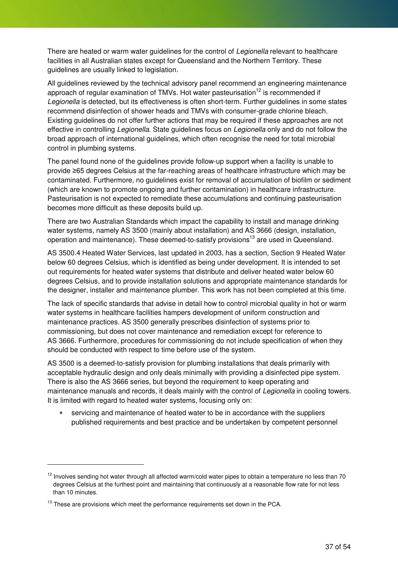There are heated or warm water guidelines for the control of Legionella relevant to healthcare facilities in all Australian states except for Queensland and the Northern Territory. These guidelines are usually linked to legislation.

All guidelines reviewed by the technical advisory panel recommend an engineering maintenance approach of regular examination of TMVs. Hot water pasteurisation<sup>12</sup> is recommended if Legionella is detected, but its effectiveness is often short-term. Further guidelines in some states recommend disinfection of shower heads and TMVs with consumer-grade chlorine bleach. Existing guidelines do not offer further actions that may be required if these approaches are not effective in controlling *Legionella*. State guidelines focus on *Legionella* only and do not follow the broad approach of international guidelines, which often recognise the need for total microbial control in plumbing systems.

The panel found none of the guidelines provide follow-up support when a facility is unable to provide ≥65 degrees Celsius at the far-reaching areas of healthcare infrastructure which may be contaminated. Furthermore, no guidelines exist for removal of accumulation of biofilm or sediment (which are known to promote ongoing and further contamination) in healthcare infrastructure. Pasteurisation is not expected to remediate these accumulations and continuing pasteurisation becomes more difficult as these deposits build up.

There are two Australian Standards which impact the capability to install and manage drinking water systems, namely AS 3500 (mainly about installation) and AS 3666 (design, installation, operation and maintenance). These deemed-to-satisfy provisions<sup>13</sup> are used in Queensland.

AS 3500.4 Heated Water Services, last updated in 2003, has a section, Section 9 Heated Water below 60 degrees Celsius, which is identified as being under development. It is intended to set out requirements for heated water systems that distribute and deliver heated water below 60 degrees Celsius, and to provide installation solutions and appropriate maintenance standards for the designer, installer and maintenance plumber. This work has not been completed at this time.

The lack of specific standards that advise in detail how to control microbial quality in hot or warm water systems in healthcare facilities hampers development of uniform construction and maintenance practices. AS 3500 generally prescribes disinfection of systems prior to commissioning, but does not cover maintenance and remediation except for reference to AS 3666. Furthermore, procedures for commissioning do not include specification of when they should be conducted with respect to time before use of the system.

AS 3500 is a deemed-to-satisfy provision for plumbing installations that deals primarily with acceptable hydraulic design and only deals minimally with providing a disinfected pipe system. There is also the AS 3666 series, but beyond the requirement to keep operating and maintenance manuals and records, it deals mainly with the control of Legionella in cooling towers. It is limited with regard to heated water systems, focusing only on:

• servicing and maintenance of heated water to be in accordance with the suppliers published requirements and best practice and be undertaken by competent personnel

 $\overline{a}$ 

 $12$  Involves sending hot water through all affected warm/cold water pipes to obtain a temperature no less than 70 degrees Celsius at the furthest point and maintaining that continuously at a reasonable flow rate for not less than 10 minutes.

 $13$  These are provisions which meet the performance requirements set down in the PCA.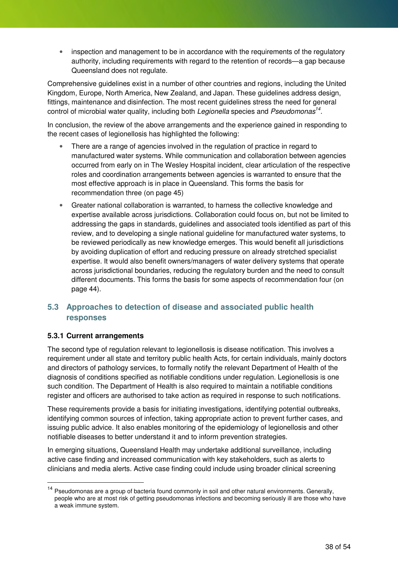• inspection and management to be in accordance with the requirements of the regulatory authority, including requirements with regard to the retention of records—a gap because Queensland does not regulate.

Comprehensive guidelines exist in a number of other countries and regions, including the United Kingdom, Europe, North America, New Zealand, and Japan. These guidelines address design, fittings, maintenance and disinfection. The most recent guidelines stress the need for general control of microbial water quality, including both Legionella species and Pseudomonas<sup>14</sup>.

In conclusion, the review of the above arrangements and the experience gained in responding to the recent cases of legionellosis has highlighted the following:

- There are a range of agencies involved in the regulation of practice in regard to manufactured water systems. While communication and collaboration between agencies occurred from early on in The Wesley Hospital incident, clear articulation of the respective roles and coordination arrangements between agencies is warranted to ensure that the most effective approach is in place in Queensland. This forms the basis for recommendation three (on page 45)
- Greater national collaboration is warranted, to harness the collective knowledge and expertise available across jurisdictions. Collaboration could focus on, but not be limited to addressing the gaps in standards, guidelines and associated tools identified as part of this review, and to developing a single national guideline for manufactured water systems, to be reviewed periodically as new knowledge emerges. This would benefit all jurisdictions by avoiding duplication of effort and reducing pressure on already stretched specialist expertise. It would also benefit owners/managers of water delivery systems that operate across jurisdictional boundaries, reducing the regulatory burden and the need to consult different documents. This forms the basis for some aspects of recommendation four (on page 44).

#### **5.3 Approaches to detection of disease and associated public health responses**

#### **5.3.1 Current arrangements**

 $\overline{a}$ 

The second type of regulation relevant to legionellosis is disease notification. This involves a requirement under all state and territory public health Acts, for certain individuals, mainly doctors and directors of pathology services, to formally notify the relevant Department of Health of the diagnosis of conditions specified as notifiable conditions under regulation. Legionellosis is one such condition. The Department of Health is also required to maintain a notifiable conditions register and officers are authorised to take action as required in response to such notifications.

These requirements provide a basis for initiating investigations, identifying potential outbreaks, identifying common sources of infection, taking appropriate action to prevent further cases, and issuing public advice. It also enables monitoring of the epidemiology of legionellosis and other notifiable diseases to better understand it and to inform prevention strategies.

In emerging situations, Queensland Health may undertake additional surveillance, including active case finding and increased communication with key stakeholders, such as alerts to clinicians and media alerts. Active case finding could include using broader clinical screening

<sup>&</sup>lt;sup>14</sup> Pseudomonas are a group of bacteria found commonly in soil and other natural environments. Generally, people who are at most risk of getting pseudomonas infections and becoming seriously ill are those who have a weak immune system.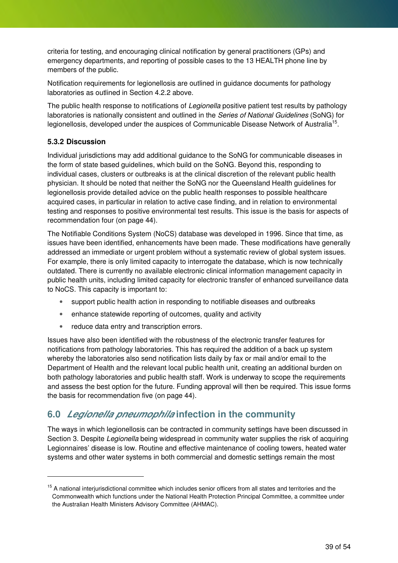criteria for testing, and encouraging clinical notification by general practitioners (GPs) and emergency departments, and reporting of possible cases to the 13 HEALTH phone line by members of the public.

Notification requirements for legionellosis are outlined in guidance documents for pathology laboratories as outlined in Section 4.2.2 above.

The public health response to notifications of Legionella positive patient test results by pathology laboratories is nationally consistent and outlined in the Series of National Guidelines (SoNG) for legionellosis, developed under the auspices of Communicable Disease Network of Australia<sup>15</sup>.

#### **5.3.2 Discussion**

 $\overline{a}$ 

Individual jurisdictions may add additional guidance to the SoNG for communicable diseases in the form of state based guidelines, which build on the SoNG. Beyond this, responding to individual cases, clusters or outbreaks is at the clinical discretion of the relevant public health physician. It should be noted that neither the SoNG nor the Queensland Health guidelines for legionellosis provide detailed advice on the public health responses to possible healthcare acquired cases, in particular in relation to active case finding, and in relation to environmental testing and responses to positive environmental test results. This issue is the basis for aspects of recommendation four (on page 44).

The Notifiable Conditions System (NoCS) database was developed in 1996. Since that time, as issues have been identified, enhancements have been made. These modifications have generally addressed an immediate or urgent problem without a systematic review of global system issues. For example, there is only limited capacity to interrogate the database, which is now technically outdated. There is currently no available electronic clinical information management capacity in public health units, including limited capacity for electronic transfer of enhanced surveillance data to NoCS. This capacity is important to:

- support public health action in responding to notifiable diseases and outbreaks
- enhance statewide reporting of outcomes, quality and activity
- reduce data entry and transcription errors.

Issues have also been identified with the robustness of the electronic transfer features for notifications from pathology laboratories. This has required the addition of a back up system whereby the laboratories also send notification lists daily by fax or mail and/or email to the Department of Health and the relevant local public health unit, creating an additional burden on both pathology laboratories and public health staff. Work is underway to scope the requirements and assess the best option for the future. Funding approval will then be required. This issue forms the basis for recommendation five (on page 44).

### **6.0 Legionella pneumophila infection in the community**

The ways in which legionellosis can be contracted in community settings have been discussed in Section 3. Despite Legionella being widespread in community water supplies the risk of acquiring Legionnaires' disease is low. Routine and effective maintenance of cooling towers, heated water systems and other water systems in both commercial and domestic settings remain the most

<sup>&</sup>lt;sup>15</sup> A national interjurisdictional committee which includes senior officers from all states and territories and the Commonwealth which functions under the National Health Protection Principal Committee, a committee under the Australian Health Ministers Advisory Committee (AHMAC).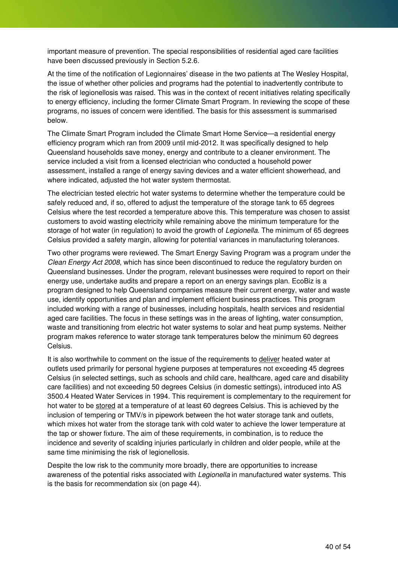important measure of prevention. The special responsibilities of residential aged care facilities have been discussed previously in Section 5.2.6.

At the time of the notification of Legionnaires' disease in the two patients at The Wesley Hospital, the issue of whether other policies and programs had the potential to inadvertently contribute to the risk of legionellosis was raised. This was in the context of recent initiatives relating specifically to energy efficiency, including the former Climate Smart Program. In reviewing the scope of these programs, no issues of concern were identified. The basis for this assessment is summarised below.

The Climate Smart Program included the Climate Smart Home Service—a residential energy efficiency program which ran from 2009 until mid-2012. It was specifically designed to help Queensland households save money, energy and contribute to a cleaner environment. The service included a visit from a licensed electrician who conducted a household power assessment, installed a range of energy saving devices and a water efficient showerhead, and where indicated, adjusted the hot water system thermostat.

The electrician tested electric hot water systems to determine whether the temperature could be safely reduced and, if so, offered to adjust the temperature of the storage tank to 65 degrees Celsius where the test recorded a temperature above this. This temperature was chosen to assist customers to avoid wasting electricity while remaining above the minimum temperature for the storage of hot water (in regulation) to avoid the growth of Legionella. The minimum of 65 degrees Celsius provided a safety margin, allowing for potential variances in manufacturing tolerances.

Two other programs were reviewed. The Smart Energy Saving Program was a program under the Clean Energy Act 2008, which has since been discontinued to reduce the regulatory burden on Queensland businesses. Under the program, relevant businesses were required to report on their energy use, undertake audits and prepare a report on an energy savings plan. EcoBiz is a program designed to help Queensland companies measure their current energy, water and waste use, identify opportunities and plan and implement efficient business practices. This program included working with a range of businesses, including hospitals, health services and residential aged care facilities. The focus in these settings was in the areas of lighting, water consumption, waste and transitioning from electric hot water systems to solar and heat pump systems. Neither program makes reference to water storage tank temperatures below the minimum 60 degrees Celsius.

It is also worthwhile to comment on the issue of the requirements to deliver heated water at outlets used primarily for personal hygiene purposes at temperatures not exceeding 45 degrees Celsius (in selected settings, such as schools and child care, healthcare, aged care and disability care facilities) and not exceeding 50 degrees Celsius (in domestic settings), introduced into AS 3500.4 Heated Water Services in 1994. This requirement is complementary to the requirement for hot water to be stored at a temperature of at least 60 degrees Celsius. This is achieved by the inclusion of tempering or TMV/s in pipework between the hot water storage tank and outlets, which mixes hot water from the storage tank with cold water to achieve the lower temperature at the tap or shower fixture. The aim of these requirements, in combination, is to reduce the incidence and severity of scalding injuries particularly in children and older people, while at the same time minimising the risk of legionellosis.

Despite the low risk to the community more broadly, there are opportunities to increase awareness of the potential risks associated with *Legionella* in manufactured water systems. This is the basis for recommendation six (on page 44).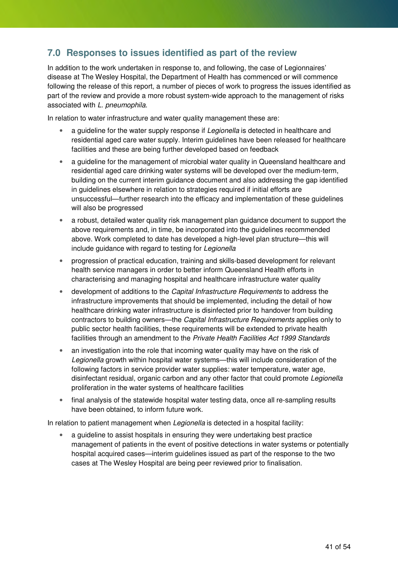### **7.0 Responses to issues identified as part of the review**

In addition to the work undertaken in response to, and following, the case of Legionnaires' disease at The Wesley Hospital, the Department of Health has commenced or will commence following the release of this report, a number of pieces of work to progress the issues identified as part of the review and provide a more robust system-wide approach to the management of risks associated with L. pneumophila.

In relation to water infrastructure and water quality management these are:

- a quideline for the water supply response if Legionella is detected in healthcare and residential aged care water supply. Interim guidelines have been released for healthcare facilities and these are being further developed based on feedback
- a quideline for the management of microbial water quality in Queensland healthcare and residential aged care drinking water systems will be developed over the medium-term, building on the current interim guidance document and also addressing the gap identified in guidelines elsewhere in relation to strategies required if initial efforts are unsuccessful—further research into the efficacy and implementation of these guidelines will also be progressed
- a robust, detailed water quality risk management plan guidance document to support the above requirements and, in time, be incorporated into the guidelines recommended above. Work completed to date has developed a high-level plan structure—this will include guidance with regard to testing for Legionella
- progression of practical education, training and skills-based development for relevant health service managers in order to better inform Queensland Health efforts in characterising and managing hospital and healthcare infrastructure water quality
- development of additions to the *Capital Infrastructure Requirements* to address the infrastructure improvements that should be implemented, including the detail of how healthcare drinking water infrastructure is disinfected prior to handover from building contractors to building owners—the Capital Infrastructure Requirements applies only to public sector health facilities, these requirements will be extended to private health facilities through an amendment to the Private Health Facilities Act 1999 Standards
- an investigation into the role that incoming water quality may have on the risk of Legionella growth within hospital water systems—this will include consideration of the following factors in service provider water supplies: water temperature, water age, disinfectant residual, organic carbon and any other factor that could promote Legionella proliferation in the water systems of healthcare facilities
- final analysis of the statewide hospital water testing data, once all re-sampling results have been obtained, to inform future work.

In relation to patient management when *Legionella* is detected in a hospital facility:

• a guideline to assist hospitals in ensuring they were undertaking best practice management of patients in the event of positive detections in water systems or potentially hospital acquired cases—interim guidelines issued as part of the response to the two cases at The Wesley Hospital are being peer reviewed prior to finalisation.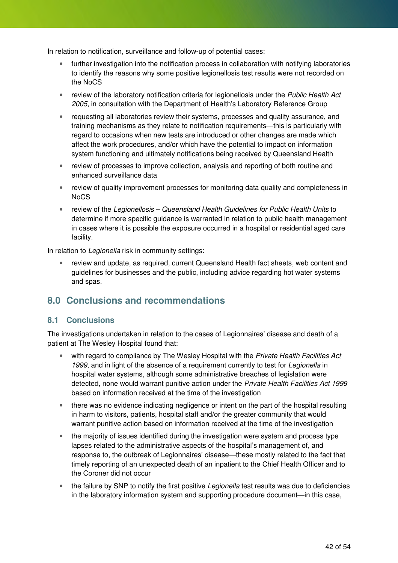In relation to notification, surveillance and follow-up of potential cases:

- further investigation into the notification process in collaboration with notifying laboratories to identify the reasons why some positive legionellosis test results were not recorded on the NoCS
- review of the laboratory notification criteria for legionellosis under the Public Health Act 2005, in consultation with the Department of Health's Laboratory Reference Group
- requesting all laboratories review their systems, processes and quality assurance, and training mechanisms as they relate to notification requirements—this is particularly with regard to occasions when new tests are introduced or other changes are made which affect the work procedures, and/or which have the potential to impact on information system functioning and ultimately notifications being received by Queensland Health
- review of processes to improve collection, analysis and reporting of both routine and enhanced surveillance data
- review of quality improvement processes for monitoring data quality and completeness in NoCS
- review of the Legionellosis Queensland Health Guidelines for Public Health Units to determine if more specific guidance is warranted in relation to public health management in cases where it is possible the exposure occurred in a hospital or residential aged care facility.

In relation to Legionella risk in community settings:

• review and update, as required, current Queensland Health fact sheets, web content and guidelines for businesses and the public, including advice regarding hot water systems and spas.

### **8.0 Conclusions and recommendations**

#### **8.1 Conclusions**

The investigations undertaken in relation to the cases of Legionnaires' disease and death of a patient at The Wesley Hospital found that:

- with regard to compliance by The Wesley Hospital with the *Private Health Facilities Act* 1999, and in light of the absence of a requirement currently to test for Legionella in hospital water systems, although some administrative breaches of legislation were detected, none would warrant punitive action under the Private Health Facilities Act 1999 based on information received at the time of the investigation
- there was no evidence indicating negligence or intent on the part of the hospital resulting in harm to visitors, patients, hospital staff and/or the greater community that would warrant punitive action based on information received at the time of the investigation
- the majority of issues identified during the investigation were system and process type lapses related to the administrative aspects of the hospital's management of, and response to, the outbreak of Legionnaires' disease—these mostly related to the fact that timely reporting of an unexpected death of an inpatient to the Chief Health Officer and to the Coroner did not occur
- the failure by SNP to notify the first positive Legionella test results was due to deficiencies in the laboratory information system and supporting procedure document—in this case,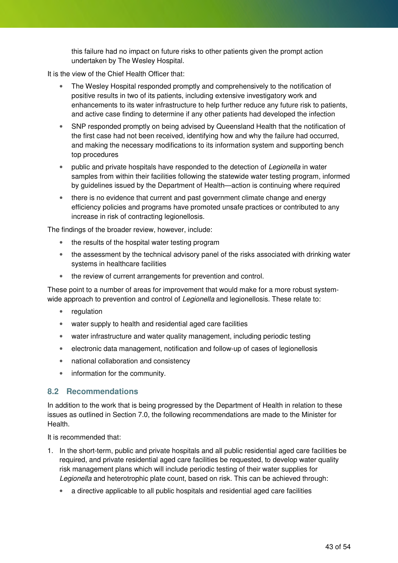this failure had no impact on future risks to other patients given the prompt action undertaken by The Wesley Hospital.

It is the view of the Chief Health Officer that:

- The Wesley Hospital responded promptly and comprehensively to the notification of positive results in two of its patients, including extensive investigatory work and enhancements to its water infrastructure to help further reduce any future risk to patients, and active case finding to determine if any other patients had developed the infection
- SNP responded promptly on being advised by Queensland Health that the notification of the first case had not been received, identifying how and why the failure had occurred, and making the necessary modifications to its information system and supporting bench top procedures
- public and private hospitals have responded to the detection of Legionella in water samples from within their facilities following the statewide water testing program, informed by guidelines issued by the Department of Health—action is continuing where required
- there is no evidence that current and past government climate change and energy efficiency policies and programs have promoted unsafe practices or contributed to any increase in risk of contracting legionellosis.

The findings of the broader review, however, include:

- the results of the hospital water testing program
- the assessment by the technical advisory panel of the risks associated with drinking water systems in healthcare facilities
- the review of current arrangements for prevention and control.

These point to a number of areas for improvement that would make for a more robust systemwide approach to prevention and control of *Legionella* and legionellosis. These relate to:

- regulation
- water supply to health and residential aged care facilities
- water infrastructure and water quality management, including periodic testing
- electronic data management, notification and follow-up of cases of legionellosis
- national collaboration and consistency
- information for the community.

#### **8.2 Recommendations**

In addition to the work that is being progressed by the Department of Health in relation to these issues as outlined in Section 7.0, the following recommendations are made to the Minister for Health.

It is recommended that:

- 1. In the short-term, public and private hospitals and all public residential aged care facilities be required, and private residential aged care facilities be requested, to develop water quality risk management plans which will include periodic testing of their water supplies for Legionella and heterotrophic plate count, based on risk. This can be achieved through:
	- a directive applicable to all public hospitals and residential aged care facilities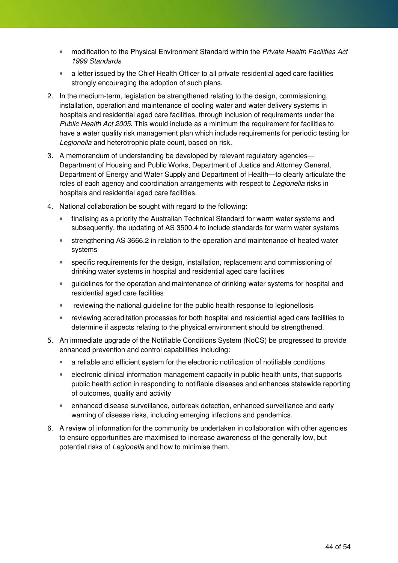- modification to the Physical Environment Standard within the Private Health Facilities Act 1999 Standards
- a letter issued by the Chief Health Officer to all private residential aged care facilities strongly encouraging the adoption of such plans.
- 2. In the medium-term, legislation be strengthened relating to the design, commissioning, installation, operation and maintenance of cooling water and water delivery systems in hospitals and residential aged care facilities, through inclusion of requirements under the Public Health Act 2005. This would include as a minimum the requirement for facilities to have a water quality risk management plan which include requirements for periodic testing for Legionella and heterotrophic plate count, based on risk.
- 3. A memorandum of understanding be developed by relevant regulatory agencies— Department of Housing and Public Works, Department of Justice and Attorney General, Department of Energy and Water Supply and Department of Health—to clearly articulate the roles of each agency and coordination arrangements with respect to Legionella risks in hospitals and residential aged care facilities.
- 4. National collaboration be sought with regard to the following:
	- finalising as a priority the Australian Technical Standard for warm water systems and subsequently, the updating of AS 3500.4 to include standards for warm water systems
	- strengthening AS 3666.2 in relation to the operation and maintenance of heated water systems
	- specific requirements for the design, installation, replacement and commissioning of drinking water systems in hospital and residential aged care facilities
	- guidelines for the operation and maintenance of drinking water systems for hospital and residential aged care facilities
	- reviewing the national quideline for the public health response to legionellosis
	- reviewing accreditation processes for both hospital and residential aged care facilities to determine if aspects relating to the physical environment should be strengthened.
- 5. An immediate upgrade of the Notifiable Conditions System (NoCS) be progressed to provide enhanced prevention and control capabilities including:
	- a reliable and efficient system for the electronic notification of notifiable conditions
	- electronic clinical information management capacity in public health units, that supports public health action in responding to notifiable diseases and enhances statewide reporting of outcomes, quality and activity
	- enhanced disease surveillance, outbreak detection, enhanced surveillance and early warning of disease risks, including emerging infections and pandemics.
- 6. A review of information for the community be undertaken in collaboration with other agencies to ensure opportunities are maximised to increase awareness of the generally low, but potential risks of Legionella and how to minimise them.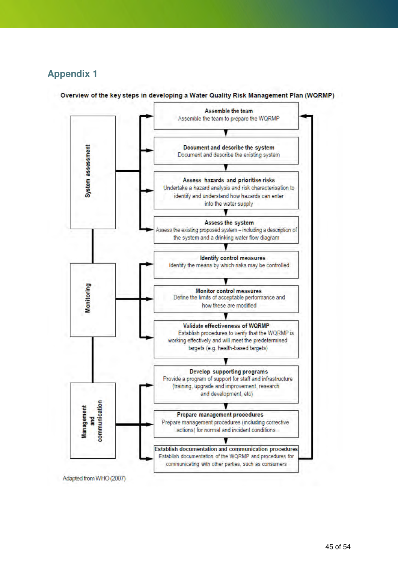### **Appendix 1**



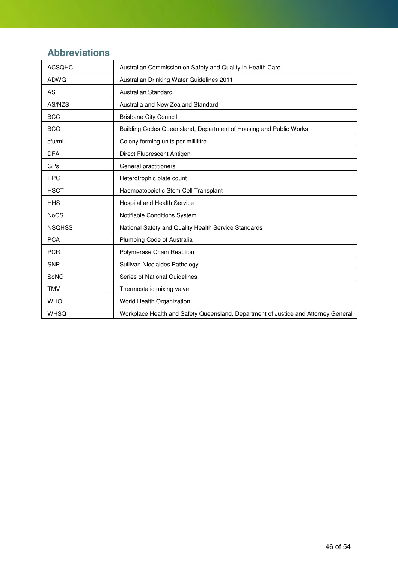## **Abbreviations**

| <b>ACSQHC</b> | Australian Commission on Safety and Quality in Health Care                         |
|---------------|------------------------------------------------------------------------------------|
| <b>ADWG</b>   | Australian Drinking Water Guidelines 2011                                          |
| AS            | Australian Standard                                                                |
| AS/NZS        | Australia and New Zealand Standard                                                 |
| <b>BCC</b>    | <b>Brisbane City Council</b>                                                       |
| <b>BCQ</b>    | Building Codes Queensland, Department of Housing and Public Works                  |
| cfu/mL        | Colony forming units per millilitre                                                |
| <b>DFA</b>    | Direct Fluorescent Antigen                                                         |
| <b>GPs</b>    | General practitioners                                                              |
| <b>HPC</b>    | Heterotrophic plate count                                                          |
| <b>HSCT</b>   | Haemoatopoietic Stem Cell Transplant                                               |
| <b>HHS</b>    | Hospital and Health Service                                                        |
| <b>NoCS</b>   | Notifiable Conditions System                                                       |
| <b>NSQHSS</b> | National Safety and Quality Health Service Standards                               |
| <b>PCA</b>    | Plumbing Code of Australia                                                         |
| <b>PCR</b>    | Polymerase Chain Reaction                                                          |
| <b>SNP</b>    | Sullivan Nicolaides Pathology                                                      |
| SoNG          | Series of National Guidelines                                                      |
| <b>TMV</b>    | Thermostatic mixing valve                                                          |
| <b>WHO</b>    | World Health Organization                                                          |
| <b>WHSQ</b>   | Workplace Health and Safety Queensland, Department of Justice and Attorney General |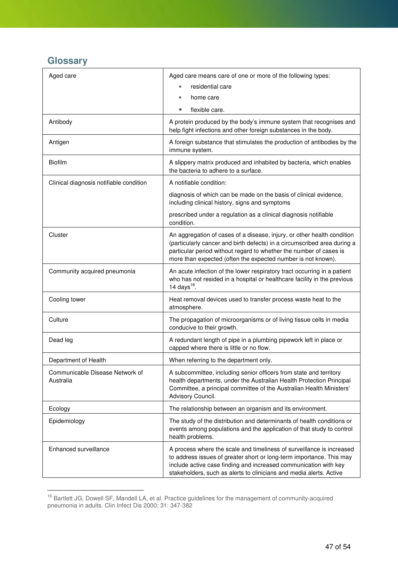### **Glossary**

 $\overline{a}$ 

| Aged care                                    | Aged care means care of one or more of the following types:                                                                                                                                                                                                                               |
|----------------------------------------------|-------------------------------------------------------------------------------------------------------------------------------------------------------------------------------------------------------------------------------------------------------------------------------------------|
|                                              | residential care<br>$\bullet$                                                                                                                                                                                                                                                             |
|                                              | home care                                                                                                                                                                                                                                                                                 |
|                                              | flexible care.<br>$\bullet$                                                                                                                                                                                                                                                               |
| Antibody                                     | A protein produced by the body's immune system that recognises and<br>help fight infections and other foreign substances in the body.                                                                                                                                                     |
| Antigen                                      | A foreign substance that stimulates the production of antibodies by the<br>immune system.                                                                                                                                                                                                 |
| <b>Biofilm</b>                               | A slippery matrix produced and inhabited by bacteria, which enables<br>the bacteria to adhere to a surface.                                                                                                                                                                               |
| Clinical diagnosis notifiable condition      | A notifiable condition:                                                                                                                                                                                                                                                                   |
|                                              | diagnosis of which can be made on the basis of clinical evidence,<br>including clinical history, signs and symptoms                                                                                                                                                                       |
|                                              | prescribed under a regulation as a clinical diagnosis notifiable<br>condition.                                                                                                                                                                                                            |
| Cluster                                      | An aggregation of cases of a disease, injury, or other health condition<br>(particularly cancer and birth defects) in a circumscribed area during a<br>particular period without regard to whether the number of cases is<br>more than expected (often the expected number is not known). |
| Community acquired pneumonia                 | An acute infection of the lower respiratory tract occurring in a patient<br>who has not resided in a hospital or healthcare facility in the previous<br>14 days <sup>16</sup> .                                                                                                           |
| Cooling tower                                | Heat removal devices used to transfer process waste heat to the<br>atmosphere.                                                                                                                                                                                                            |
| Culture                                      | The propagation of microorganisms or of living tissue cells in media<br>conducive to their growth.                                                                                                                                                                                        |
| Dead leg                                     | A redundant length of pipe in a plumbing pipework left in place or<br>capped where there is little or no flow.                                                                                                                                                                            |
| Department of Health                         | When referring to the department only.                                                                                                                                                                                                                                                    |
| Communicable Disease Network of<br>Australia | A subcommittee, including senior officers from state and territory<br>health departments, under the Australian Health Protection Principal<br>Committee, a principal committee of the Australian Health Ministers'<br>Advisory Council.                                                   |
| Ecology                                      | The relationship between an organism and its environment.                                                                                                                                                                                                                                 |
| Epidemiology                                 | The study of the distribution and determinants of health conditions or<br>events among populations and the application of that study to control<br>health problems.                                                                                                                       |
| Enhanced surveillance                        | A process where the scale and timeliness of surveillance is increased<br>to address issues of greater short or long-term importance. This may<br>include active case finding and increased communication with key<br>stakeholders, such as alerts to clinicians and media alerts. Active  |

<sup>&</sup>lt;sup>16</sup> Bartlett JG, Dowell SF, Mandell LA, et al. Practice guidelines for the management of community-acquired pneumonia in adults. Clin Infect Dis 2000; 31: 347-382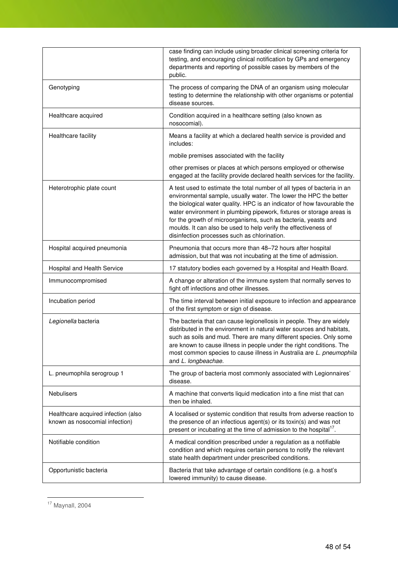|                                                                       | case finding can include using broader clinical screening criteria for<br>testing, and encouraging clinical notification by GPs and emergency<br>departments and reporting of possible cases by members of the<br>public.                                                                                                                                                                                                                                                            |
|-----------------------------------------------------------------------|--------------------------------------------------------------------------------------------------------------------------------------------------------------------------------------------------------------------------------------------------------------------------------------------------------------------------------------------------------------------------------------------------------------------------------------------------------------------------------------|
| Genotyping                                                            | The process of comparing the DNA of an organism using molecular<br>testing to determine the relationship with other organisms or potential<br>disease sources.                                                                                                                                                                                                                                                                                                                       |
| Healthcare acquired                                                   | Condition acquired in a healthcare setting (also known as<br>nosocomial).                                                                                                                                                                                                                                                                                                                                                                                                            |
| Healthcare facility                                                   | Means a facility at which a declared health service is provided and<br>includes:                                                                                                                                                                                                                                                                                                                                                                                                     |
|                                                                       | mobile premises associated with the facility                                                                                                                                                                                                                                                                                                                                                                                                                                         |
|                                                                       | other premises or places at which persons employed or otherwise<br>engaged at the facility provide declared health services for the facility.                                                                                                                                                                                                                                                                                                                                        |
| Heterotrophic plate count                                             | A test used to estimate the total number of all types of bacteria in an<br>environmental sample, usually water. The lower the HPC the better<br>the biological water quality. HPC is an indicator of how favourable the<br>water environment in plumbing pipework, fixtures or storage areas is<br>for the growth of microorganisms, such as bacteria, yeasts and<br>moulds. It can also be used to help verify the effectiveness of<br>disinfection processes such as chlorination. |
| Hospital acquired pneumonia                                           | Pneumonia that occurs more than 48-72 hours after hospital<br>admission, but that was not incubating at the time of admission.                                                                                                                                                                                                                                                                                                                                                       |
| Hospital and Health Service                                           | 17 statutory bodies each governed by a Hospital and Health Board.                                                                                                                                                                                                                                                                                                                                                                                                                    |
| Immunocompromised                                                     | A change or alteration of the immune system that normally serves to<br>fight off infections and other illnesses.                                                                                                                                                                                                                                                                                                                                                                     |
| Incubation period                                                     | The time interval between initial exposure to infection and appearance<br>of the first symptom or sign of disease.                                                                                                                                                                                                                                                                                                                                                                   |
| Legionella bacteria                                                   | The bacteria that can cause legionellosis in people. They are widely<br>distributed in the environment in natural water sources and habitats.<br>such as soils and mud. There are many different species. Only some<br>are known to cause illness in people under the right conditions. The<br>most common species to cause illness in Australia are L. pneumophila<br>and L. longbeachae.                                                                                           |
| L. pneumophila serogroup 1                                            | The group of bacteria most commonly associated with Legionnaires'<br>disease.                                                                                                                                                                                                                                                                                                                                                                                                        |
| Nebulisers                                                            | A machine that converts liquid medication into a fine mist that can<br>then be inhaled.                                                                                                                                                                                                                                                                                                                                                                                              |
| Healthcare acquired infection (also<br>known as nosocomial infection) | A localised or systemic condition that results from adverse reaction to<br>the presence of an infectious agent(s) or its toxin(s) and was not<br>present or incubating at the time of admission to the hospital <sup>17</sup> .                                                                                                                                                                                                                                                      |
| Notifiable condition                                                  | A medical condition prescribed under a regulation as a notifiable<br>condition and which requires certain persons to notify the relevant<br>state health department under prescribed conditions.                                                                                                                                                                                                                                                                                     |
| Opportunistic bacteria                                                | Bacteria that take advantage of certain conditions (e.g. a host's<br>lowered immunity) to cause disease.                                                                                                                                                                                                                                                                                                                                                                             |

 $17$  Maynall, 2004

 $\overline{a}$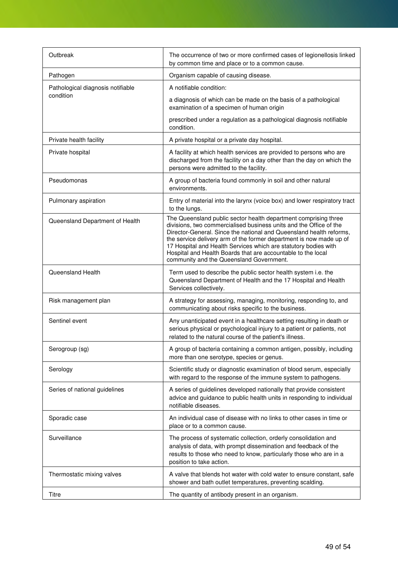| Outbreak                          | The occurrence of two or more confirmed cases of legionellosis linked<br>by common time and place or to a common cause.                                                                                                                                                                                                                                                                                                                                            |
|-----------------------------------|--------------------------------------------------------------------------------------------------------------------------------------------------------------------------------------------------------------------------------------------------------------------------------------------------------------------------------------------------------------------------------------------------------------------------------------------------------------------|
| Pathogen                          | Organism capable of causing disease.                                                                                                                                                                                                                                                                                                                                                                                                                               |
| Pathological diagnosis notifiable | A notifiable condition:                                                                                                                                                                                                                                                                                                                                                                                                                                            |
| condition                         | a diagnosis of which can be made on the basis of a pathological<br>examination of a specimen of human origin                                                                                                                                                                                                                                                                                                                                                       |
|                                   | prescribed under a regulation as a pathological diagnosis notifiable<br>condition.                                                                                                                                                                                                                                                                                                                                                                                 |
| Private health facility           | A private hospital or a private day hospital.                                                                                                                                                                                                                                                                                                                                                                                                                      |
| Private hospital                  | A facility at which health services are provided to persons who are<br>discharged from the facility on a day other than the day on which the<br>persons were admitted to the facility.                                                                                                                                                                                                                                                                             |
| Pseudomonas                       | A group of bacteria found commonly in soil and other natural<br>environments.                                                                                                                                                                                                                                                                                                                                                                                      |
| Pulmonary aspiration              | Entry of material into the larynx (voice box) and lower respiratory tract<br>to the lungs.                                                                                                                                                                                                                                                                                                                                                                         |
| Queensland Department of Health   | The Queensland public sector health department comprising three<br>divisions, two commercialised business units and the Office of the<br>Director-General. Since the national and Queensland health reforms,<br>the service delivery arm of the former department is now made up of<br>17 Hospital and Health Services which are statutory bodies with<br>Hospital and Health Boards that are accountable to the local<br>community and the Queensland Government. |
| Queensland Health                 | Term used to describe the public sector health system i.e. the<br>Queensland Department of Health and the 17 Hospital and Health<br>Services collectively.                                                                                                                                                                                                                                                                                                         |
| Risk management plan              | A strategy for assessing, managing, monitoring, responding to, and<br>communicating about risks specific to the business.                                                                                                                                                                                                                                                                                                                                          |
| Sentinel event                    | Any unanticipated event in a healthcare setting resulting in death or<br>serious physical or psychological injury to a patient or patients, not<br>related to the natural course of the patient's illness.                                                                                                                                                                                                                                                         |
| Serogroup (sg)                    | A group of bacteria containing a common antigen, possibly, including<br>more than one serotype, species or genus.                                                                                                                                                                                                                                                                                                                                                  |
| Serology                          | Scientific study or diagnostic examination of blood serum, especially<br>with regard to the response of the immune system to pathogens.                                                                                                                                                                                                                                                                                                                            |
| Series of national guidelines     | A series of guidelines developed nationally that provide consistent<br>advice and guidance to public health units in responding to individual<br>notifiable diseases.                                                                                                                                                                                                                                                                                              |
| Sporadic case                     | An individual case of disease with no links to other cases in time or<br>place or to a common cause.                                                                                                                                                                                                                                                                                                                                                               |
| Surveillance                      | The process of systematic collection, orderly consolidation and<br>analysis of data, with prompt dissemination and feedback of the<br>results to those who need to know, particularly those who are in a<br>position to take action.                                                                                                                                                                                                                               |
| Thermostatic mixing valves        | A valve that blends hot water with cold water to ensure constant, safe<br>shower and bath outlet temperatures, preventing scalding.                                                                                                                                                                                                                                                                                                                                |
| Titre                             | The quantity of antibody present in an organism.                                                                                                                                                                                                                                                                                                                                                                                                                   |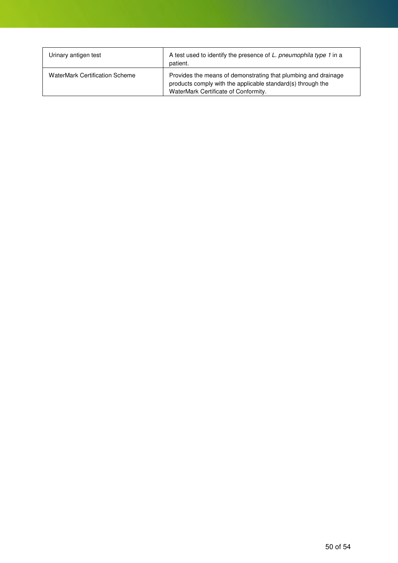| Urinary antigen test                  | A test used to identify the presence of L. pneumophila type 1 in a<br>patient.                                                                                        |
|---------------------------------------|-----------------------------------------------------------------------------------------------------------------------------------------------------------------------|
| <b>WaterMark Certification Scheme</b> | Provides the means of demonstrating that plumbing and drainage<br>products comply with the applicable standard(s) through the<br>WaterMark Certificate of Conformity. |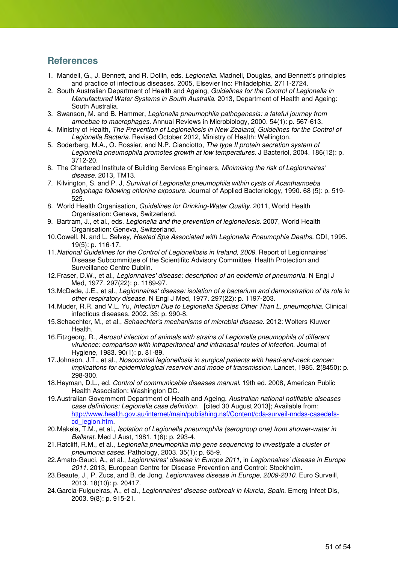### **References**

- 1. Mandell, G., J. Bennett, and R. Doliln, eds. Legionella. Madnell, Douglas, and Bennett's principles and practice of infectious diseases. 2005, Elsevier Inc: Philadelphia. 2711-2724.
- 2. South Australian Department of Health and Ageing, Guidelines for the Control of Legionella in Manufactured Water Systems in South Australia. 2013, Department of Health and Ageing: South Australia.
- 3. Swanson, M. and B. Hammer, Legionella pneumophila pathogenesis: a fateful journey from amoebae to macrophages. Annual Reviews in Microbiology, 2000. 54(1): p. 567-613.
- 4. Ministry of Health, The Prevention of Legionellosis in New Zealand, Guidelines for the Control of Legionella Bacteria. Revised October 2012, Ministry of Health: Wellington.
- 5. Soderberg, M.A., O. Rossier, and N.P. Cianciotto, The type II protein secretion system of Legionella pneumophila promotes growth at low temperatures. J Bacteriol, 2004. 186(12): p. 3712-20.
- 6. The Chartered Institute of Building Services Engineers, Minimising the risk of Legionnaires' disease. 2013, TM13.
- 7. Kilvington, S. and P. J, Survival of Legionella pneumophila within cysts of Acanthamoeba polyphaga following chlorine exposure. Journal of Applied Bacteriology, 1990. 68 (5): p. 519- 525.
- 8. World Health Organisation, Guidelines for Drinking-Water Quality. 2011, World Health Organisation: Geneva, Switzerland.
- 9. Bartram, J., et al., eds. Legionella and the prevention of legionellosis. 2007, World Health Organisation: Geneva, Switzerland.
- 10. Cowell, N. and L. Selvey, Heated Spa Associated with Legionella Pneumophia Deaths. CDI, 1995. 19(5): p. 116-17.
- 11. National Guidelines for the Control of Legionellosis in Ireland, 2009. Report of Legionnaires' Disease Subcommittee of the Scientifitc Advisory Committee, Health Protection and Surveillance Centre Dublin.
- 12. Fraser, D.W., et al., Legionnaires' disease: description of an epidemic of pneumonia. N Engl J Med, 1977. 297(22): p. 1189-97.
- 13. McDade, J.E., et al., Legionnaires' disease: isolation of a bacterium and demonstration of its role in other respiratory disease. N Engl J Med, 1977. 297(22): p. 1197-203.
- 14. Muder, R.R. and V.L. Yu, Infection Due to Legionella Species Other Than L. pneumophila. Clinical infectious diseases, 2002. 35: p. 990-8.
- 15. Schaechter, M., et al., Schaechter's mechanisms of microbial disease. 2012: Wolters Kluwer Health.
- 16. Fitzgeorg, R., Aerosol infection of animals with strains of Legionella pneumophila of different virulence: comparison with intraperitoneal and intranasal routes of infection. Journal of Hygiene, 1983. 90(1): p. 81-89.
- 17. Johnson, J.T., et al., Nosocomial legionellosis in surgical patients with head-and-neck cancer: implications for epidemiological reservoir and mode of transmission. Lancet, 1985. **2**(8450): p. 298-300.
- 18. Heyman, D.L., ed. Control of communicable diseases manual. 19th ed. 2008, American Public Health Association: Washington DC.
- 19. Australian Government Department of Heath and Ageing. Australian national notifiable diseases case definitions: Legionella case definition. [cited 30 August 2013]; Available from: http://www.health.gov.au/internet/main/publishing.nsf/Content/cda-surveil-nndss-casedefscd\_legion.htm.
- 20. Makela, T.M., et al., Isolation of Legionella pneumophila (serogroup one) from shower-water in Ballarat. Med J Aust, 1981. 1(6): p. 293-4.
- 21. Ratcliff, R.M., et al., Legionella pneumophila mip gene sequencing to investigate a cluster of pneumonia cases. Pathology, 2003. 35(1): p. 65-9.
- 22. Amato-Gauci, A., et al., Legionnaires' disease in Europe 2011, in Legionnaires' disease in Europe 2011. 2013, European Centre for Disease Prevention and Control: Stockholm.
- 23. Beaute, J., P. Zucs, and B. de Jong, Legionnaires disease in Europe, 2009-2010. Euro Surveill, 2013. 18(10): p. 20417.
- 24. Garcia-Fulgueiras, A., et al., Legionnaires' disease outbreak in Murcia, Spain. Emerg Infect Dis, 2003. 9(8): p. 915-21.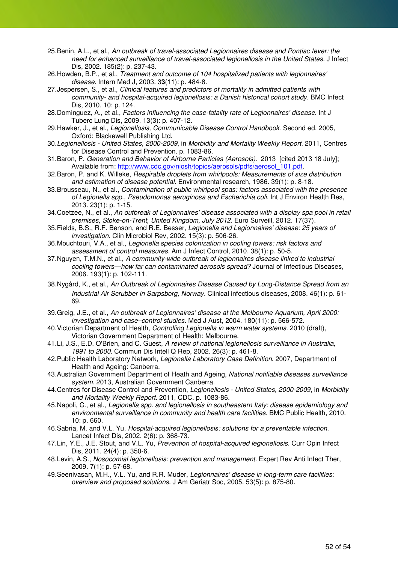- 25. Benin, A.L., et al., An outbreak of travel-associated Legionnaires disease and Pontiac fever: the need for enhanced surveillance of travel-associated legionellosis in the United States. J Infect Dis, 2002. 185(2): p. 237-43.
- 26. Howden, B.P., et al., Treatment and outcome of 104 hospitalized patients with legionnaires' disease. Intern Med J, 2003. 3**3**(11): p. 484-8.
- 27. Jespersen, S., et al., Clinical features and predictors of mortality in admitted patients with community- and hospital-acquired legionellosis: a Danish historical cohort study. BMC Infect Dis, 2010. 10: p. 124.
- 28. Dominguez, A., et al., Factors influencing the case-fatality rate of Legionnaires' disease. Int J Tuberc Lung Dis, 2009. 13(3): p. 407-12.
- 29. Hawker, J., et al., Legionellosis, Communicable Disease Control Handbook. Second ed. 2005, Oxford: Blackewell Publishing Ltd.
- 30. Legionellosis United States, 2000-2009, in Morbidity and Mortality Weekly Report. 2011, Centres for Disease Control and Prevention. p. 1083-86.
- 31. Baron, P. Generation and Behavior of Airborne Particles (Aerosols). 2013 [cited 2013 18 July]; Available from: http://www.cdc.gov/niosh/topics/aerosols/pdfs/aerosol\_101.pdf.
- 32. Baron, P. and K. Willeke, Respirable droplets from whirlpools: Measurements of size distribution and estimation of disease potential. Environmental research, 1986. 39(1): p. 8-18.
- 33. Brousseau, N., et al., Contamination of public whirlpool spas: factors associated with the presence of Legionella spp., Pseudomonas aeruginosa and Escherichia coli. Int J Environ Health Res, 2013. 23(1): p. 1-15.
- 34. Coetzee, N., et al., An outbreak of Legionnaires' disease associated with a display spa pool in retail premises, Stoke-on-Trent, United Kingdom, July 2012. Euro Surveill, 2012. 17(37).
- 35. Fields, B.S., R.F. Benson, and R.E. Besser, Legionella and Legionnaires' disease: 25 years of investigation. Clin Microbiol Rev, 2002. 15(3): p. 506-26.
- 36. Mouchtouri, V.A., et al., Legionella species colonization in cooling towers: risk factors and assessment of control measures. Am J Infect Control, 2010. 38(1): p. 50-5.
- 37. Nguyen, T.M.N., et al., A community-wide outbreak of legionnaires disease linked to industrial cooling towers—how far can contaminated aerosols spread? Journal of Infectious Diseases, 2006. 193(1): p. 102-111.
- 38. Nygård, K., et al., An Outbreak of Legionnaires Disease Caused by Long-Distance Spread from an Industrial Air Scrubber in Sarpsborg, Norway. Clinical infectious diseases, 2008. 46(1): p. 61- 69.
- 39. Greig, J.E., et al., An outbreak of Legionnaires' disease at the Melbourne Aquarium, April 2000: investigation and case–control studies. Med J Aust, 2004. 180(11): p. 566-572.
- 40. Victorian Department of Health, Controlling Legionella in warm water systems. 2010 (draft), Victorian Government Department of Health: Melbourne.
- 41. Li, J.S., E.D. O'Brien, and C. Guest, A review of national legionellosis surveillance in Australia, 1991 to 2000. Commun Dis Intell Q Rep, 2002. 26(3): p. 461-8.
- 42. Public Health Laboratory Network, Legionella Laboratory Case Definition. 2007, Department of Health and Ageing: Canberra.
- 43. Australian Government Department of Heath and Ageing, National notifiable diseases surveillance system. 2013, Australian Government Canberra.
- 44. Centres for Disease Control and Prevention, Legionellosis United States, 2000-2009, in Morbidity and Mortality Weekly Report. 2011, CDC. p. 1083-86.
- 45. Napoli, C., et al., Legionella spp. and legionellosis in southeastern Italy: disease epidemiology and environmental surveillance in community and health care facilities. BMC Public Health, 2010. 10: p. 660.
- 46. Sabria, M. and V.L. Yu, Hospital-acquired legionellosis: solutions for a preventable infection. Lancet Infect Dis, 2002. 2(6): p. 368-73.
- 47. Lin, Y.E., J.E. Stout, and V.L. Yu, Prevention of hospital-acquired legionellosis. Curr Opin Infect Dis, 2011. 24(4): p. 350-6.
- 48. Levin, A.S., Nosocomial legionellosis: prevention and management. Expert Rev Anti Infect Ther, 2009. 7(1): p. 57-68.
- 49. Seenivasan, M.H., V.L. Yu, and R.R. Muder, Legionnaires' disease in long-term care facilities: overview and proposed solutions. J Am Geriatr Soc, 2005. 53(5): p. 875-80.